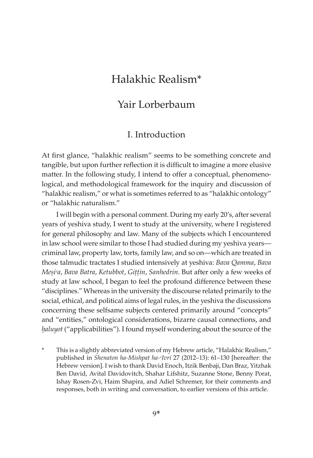# Yair Lorberbaum

## I. Introduction

At first glance, "halakhic realism" seems to be something concrete and tangible, but upon further reflection it is difficult to imagine a more elusive matter. In the following study, I intend to offer a conceptual, phenomenological, and methodological framework for the inquiry and discussion of "halakhic realism," or what is sometimes referred to as "halakhic ontology" or "halakhic naturalism."

I will begin with a personal comment. During my early 20's, after several years of yeshiva study, I went to study at the university, where I registered for general philosophy and law. Many of the subjects which I encountered in law school were similar to those I had studied during my yeshiva years criminal law, property law, torts, family law, and so on—which are treated in those talmudic tractates I studied intensively at yeshiva: *Bava Qamma*, *Bava Meúiᶜa*, *Bava Batra*, *Ketubbot*, *Giûûin*, *Sanhedrin*. But after only a few weeks of study at law school, I began to feel the profound difference between these "disciplines." Whereas in the university the discourse related primarily to the social, ethical, and political aims of legal rules, in the yeshiva the discussions concerning these selfsame subjects centered primarily around "concepts" and "entities," ontological considerations, bizarre causal connections, and *haluyot* ("applicabilities"). I found myself wondering about the source of the

This is a slightly abbreviated version of my Hebrew article, "Halakhic Realism," published in *Shenaton ha-Mishpat ha-ᶜIvri* 27 (2012–13): 61–130 [hereafter: the Hebrew version]. I wish to thank David Enoch, Itzik Benbaji, Dan Braz, Yitzhak Ben David, Avital Davidovitch, Shahar Lifshitz, Suzanne Stone, Benny Porat, Ishay Rosen-Zvi, Haim Shapira, and Adiel Schremer, for their comments and responses, both in writing and conversation, to earlier versions of this article.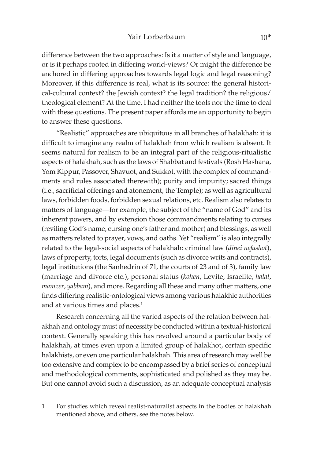#### Yair Lorberbaum 10\*

difference between the two approaches: Is it a matter of style and language, or is it perhaps rooted in differing world-views? Or might the difference be anchored in differing approaches towards legal logic and legal reasoning? Moreover, if this difference is real, what is its source: the general historical-cultural context? the Jewish context? the legal tradition? the religious/ theological element? At the time, I had neither the tools nor the time to deal with these questions. The present paper affords me an opportunity to begin to answer these questions.

"Realistic" approaches are ubiquitous in all branches of halakhah: it is difficult to imagine any realm of halakhah from which realism is absent. It seems natural for realism to be an integral part of the religious-ritualistic aspects of halakhah, such as the laws of Shabbat and festivals (Rosh Hashana, Yom Kippur, Passover, Shavuot, and Sukkot, with the complex of commandments and rules associated therewith); purity and impurity; sacred things (i.e., sacrificial offerings and atonement, the Temple); as well as agricultural laws, forbidden foods, forbidden sexual relations, etc. Realism also relates to matters of language—for example, the subject of the "name of God" and its inherent powers, and by extension those commandments relating to curses (reviling God's name, cursing one's father and mother) and blessings, as well as matters related to prayer, vows, and oaths. Yet "realism" is also integrally related to the legal-social aspects of halakhah: criminal law (*dinei nefashot*), laws of property, torts, legal documents (such as divorce writs and contracts), legal institutions (the Sanhedrin of 71, the courts of 23 and of 3), family law (marriage and divorce etc.), personal status (*kohen*, Levite, Israelite, *êalal*, *mamzer*, *yabbam*), and more. Regarding all these and many other matters, one finds differing realistic-ontological views among various halakhic authorities and at various times and places.<sup>1</sup>

Research concerning all the varied aspects of the relation between halakhah and ontology must of necessity be conducted within a textual-historical context. Generally speaking this has revolved around a particular body of halakhah, at times even upon a limited group of halakhot, certain specific halakhists, or even one particular halakhah. This area of research may well be too extensive and complex to be encompassed by a brief series of conceptual and methodological comments, sophisticated and polished as they may be. But one cannot avoid such a discussion, as an adequate conceptual analysis

1 For studies which reveal realist-naturalist aspects in the bodies of halakhah mentioned above, and others, see the notes below.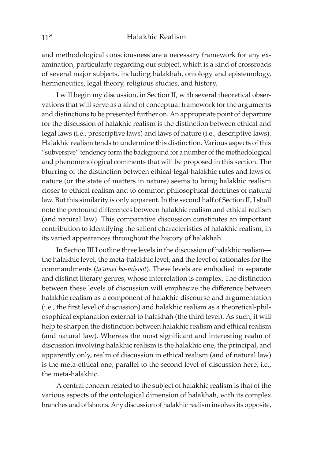and methodological consciousness are a necessary framework for any examination, particularly regarding our subject, which is a kind of crossroads of several major subjects, including halakhah, ontology and epistemology, hermeneutics, legal theory, religious studies, and history.

I will begin my discussion, in Section II, with several theoretical observations that will serve as a kind of conceptual framework for the arguments and distinctions to be presented further on. An appropriate point of departure for the discussion of halakhic realism is the distinction between ethical and legal laws (i.e., prescriptive laws) and laws of nature (i.e., descriptive laws). Halakhic realism tends to undermine this distinction. Various aspects of this "subversive" tendency form the background for a number of the methodological and phenomenological comments that will be proposed in this section. The blurring of the distinction between ethical-legal-halakhic rules and laws of nature (or the state of matters in nature) seems to bring halakhic realism closer to ethical realism and to common philosophical doctrines of natural law. But this similarity is only apparent. In the second half of Section II, I shall note the profound differences between halakhic realism and ethical realism (and natural law). This comparative discussion constitutes an important contribution to identifying the salient characteristics of halakhic realism, in its varied appearances throughout the history of halakhah.

In Section III I outline three levels in the discussion of halakhic realism the halakhic level, the meta-halakhic level, and the level of rationales for the commandments (*ţa<sup>c</sup>amei ha-miṣvot*). These levels are embodied in separate and distinct literary genres, whose interrelation is complex. The distinction between these levels of discussion will emphasize the difference between halakhic realism as a component of halakhic discourse and argumentation (i.e., the first level of discussion) and halakhic realism as a theoretical-philosophical explanation external to halakhah (the third level). As such, it will help to sharpen the distinction between halakhic realism and ethical realism (and natural law). Whereas the most significant and interesting realm of discussion involving halakhic realism is the halakhic one, the principal, and apparently only, realm of discussion in ethical realism (and of natural law) is the meta-ethical one, parallel to the second level of discussion here, i.e., the meta-halakhic.

A central concern related to the subject of halakhic realism is that of the various aspects of the ontological dimension of halakhah, with its complex branches and offshoots. Any discussion of halakhic realism involves its opposite,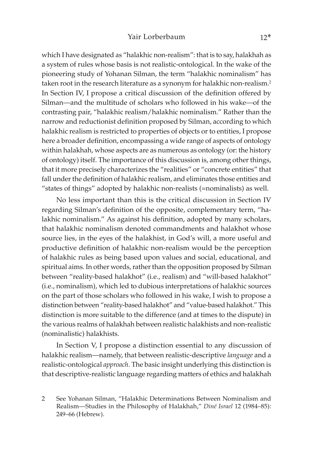which I have designated as "halakhic non-realism": that is to say, halakhah as a system of rules whose basis is not realistic-ontological. In the wake of the pioneering study of Yohanan Silman, the term "halakhic nominalism" has taken root in the research literature as a synonym for halakhic non-realism.<sup>2</sup> In Section IV, I propose a critical discussion of the definition offered by Silman—and the multitude of scholars who followed in his wake—of the contrasting pair, "halakhic realism/halakhic nominalism." Rather than the narrow and reductionist definition proposed by Silman, according to which halakhic realism is restricted to properties of objects or to entities, I propose here a broader definition, encompassing a wide range of aspects of ontology within halakhah, whose aspects are as numerous as ontology (or: the history of ontology) itself. The importance of this discussion is, among other things, that it more precisely characterizes the "realities" or "concrete entities" that fall under the definition of halakhic realism, and eliminates those entities and "states of things" adopted by halakhic non-realists (=nominalists) as well.

No less important than this is the critical discussion in Section IV regarding Silman's definition of the opposite, complementary term, "halakhic nominalism." As against his definition, adopted by many scholars, that halakhic nominalism denoted commandments and halakhot whose source lies, in the eyes of the halakhist, in God's will, a more useful and productive definition of halakhic non-realism would be the perception of halakhic rules as being based upon values and social, educational, and spiritual aims. In other words, rather than the opposition proposed by Silman between "reality-based halakhot" (i.e., realism) and "will-based halakhot" (i.e., nominalism), which led to dubious interpretations of halakhic sources on the part of those scholars who followed in his wake, I wish to propose a distinction between "reality-based halakhot" and "value-based halakhot." This distinction is more suitable to the difference (and at times to the dispute) in the various realms of halakhah between realistic halakhists and non-realistic (nominalistic) halakhists.

In Section V, I propose a distinction essential to any discussion of halakhic realism—namely, that between realistic-descriptive *language* and a realistic-ontological *approach*. The basic insight underlying this distinction is that descriptive-realistic language regarding matters of ethics and halakhah

<sup>2</sup> See Yohanan Silman, "Halakhic Determinations Between Nominalism and Realism—Studies in the Philosophy of Halakhah," *Diné Israel* 12 (1984–85): 249–66 (Hebrew).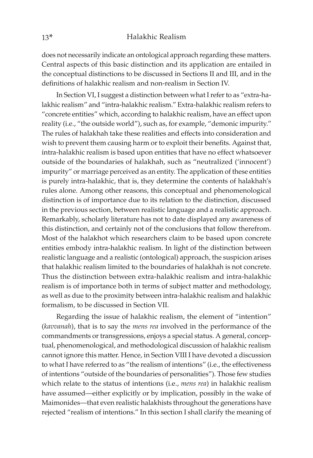does not necessarily indicate an ontological approach regarding these matters. Central aspects of this basic distinction and its application are entailed in the conceptual distinctions to be discussed in Sections II and III, and in the definitions of halakhic realism and non-realism in Section IV.

In Section VI, I suggest a distinction between what I refer to as "extra-halakhic realism" and "intra-halakhic realism." Extra-halakhic realism refers to "concrete entities" which, according to halakhic realism, have an effect upon reality (i.e., "the outside world"), such as, for example, "demonic impurity." The rules of halakhah take these realities and effects into consideration and wish to prevent them causing harm or to exploit their benefits. Against that, intra-halakhic realism is based upon entities that have no effect whatsoever outside of the boundaries of halakhah, such as "neutralized ('innocent') impurity" or marriage perceived as an entity. The application of these entities is purely intra-halakhic, that is, they determine the contents of halakhah's rules alone. Among other reasons, this conceptual and phenomenological distinction is of importance due to its relation to the distinction, discussed in the previous section, between realistic language and a realistic approach. Remarkably, scholarly literature has not to date displayed any awareness of this distinction, and certainly not of the conclusions that follow therefrom. Most of the halakhot which researchers claim to be based upon concrete entities embody intra-halakhic realism. In light of the distinction between realistic language and a realistic (ontological) approach, the suspicion arises that halakhic realism limited to the boundaries of halakhah is not concrete. Thus the distinction between extra-halakhic realism and intra-halakhic realism is of importance both in terms of subject matter and methodology, as well as due to the proximity between intra-halakhic realism and halakhic formalism, to be discussed in Section VII.

Regarding the issue of halakhic realism, the element of "intention" (*kavvanah*), that is to say the *mens rea* involved in the performance of the commandments or transgressions, enjoys a special status. A general, conceptual, phenomenological, and methodological discussion of halakhic realism cannot ignore this matter. Hence, in Section VIII I have devoted a discussion to what I have referred to as "the realism of intentions" (i.e., the effectiveness of intentions "outside of the boundaries of personalities"). Those few studies which relate to the status of intentions (i.e., *mens rea*) in halakhic realism have assumed—either explicitly or by implication, possibly in the wake of Maimonides—that even realistic halakhists throughout the generations have rejected "realism of intentions." In this section I shall clarify the meaning of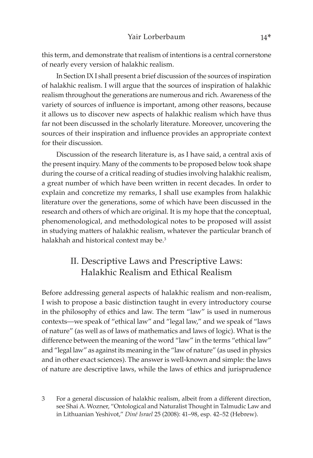this term, and demonstrate that realism of intentions is a central cornerstone of nearly every version of halakhic realism.

In Section IX I shall present a brief discussion of the sources of inspiration of halakhic realism. I will argue that the sources of inspiration of halakhic realism throughout the generations are numerous and rich. Awareness of the variety of sources of influence is important, among other reasons, because it allows us to discover new aspects of halakhic realism which have thus far not been discussed in the scholarly literature. Moreover, uncovering the sources of their inspiration and influence provides an appropriate context for their discussion.

Discussion of the research literature is, as I have said, a central axis of the present inquiry. Many of the comments to be proposed below took shape during the course of a critical reading of studies involving halakhic realism, a great number of which have been written in recent decades. In order to explain and concretize my remarks, I shall use examples from halakhic literature over the generations, some of which have been discussed in the research and others of which are original. It is my hope that the conceptual, phenomenological, and methodological notes to be proposed will assist in studying matters of halakhic realism, whatever the particular branch of halakhah and historical context may be.<sup>3</sup>

# II. Descriptive Laws and Prescriptive Laws: Halakhic Realism and Ethical Realism

Before addressing general aspects of halakhic realism and non-realism, I wish to propose a basic distinction taught in every introductory course in the philosophy of ethics and law. The term "law" is used in numerous contexts—we speak of "ethical law" and "legal law," and we speak of "laws of nature" (as well as of laws of mathematics and laws of logic). What is the difference between the meaning of the word "law" in the terms "ethical law" and "legal law" as against its meaning in the "law of nature" (as used in physics and in other exact sciences). The answer is well-known and simple: the laws of nature are descriptive laws, while the laws of ethics and jurisprudence

<sup>3</sup> For a general discussion of halakhic realism, albeit from a different direction, see Shai A. Wozner, "Ontological and Naturalist Thought in Talmudic Law and in Lithuanian Yeshivot," *Diné Israel* 25 (2008): 41–98, esp. 42–52 (Hebrew).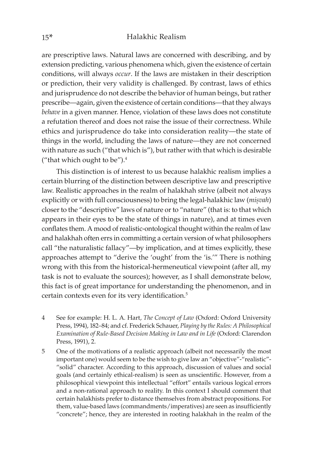are prescriptive laws. Natural laws are concerned with describing, and by extension predicting, various phenomena which, given the existence of certain conditions, will always *occur*. If the laws are mistaken in their description or prediction, their very validity is challenged. By contrast, laws of ethics and jurisprudence do not describe the behavior of human beings, but rather prescribe—again, given the existence of certain conditions—that they always *behave* in a given manner. Hence, violation of these laws does not constitute a refutation thereof and does not raise the issue of their correctness. While ethics and jurisprudence do take into consideration reality—the state of things in the world, including the laws of nature—they are not concerned with nature as such ("that which is"), but rather with that which is desirable ("that which ought to be").4

This distinction is of interest to us because halakhic realism implies a certain blurring of the distinction between descriptive law and prescriptive law. Realistic approaches in the realm of halakhah strive (albeit not always explicitly or with full consciousness) to bring the legal-halakhic law (*misvah*) closer to the "descriptive" laws of nature or to "nature" (that is: to that which appears in their eyes to be the state of things in nature), and at times even conflates them. A mood of realistic-ontological thought within the realm of law and halakhah often errs in committing a certain version of what philosophers call "the naturalistic fallacy"—by implication, and at times explicitly, these approaches attempt to "derive the 'ought' from the 'is.'" There is nothing wrong with this from the historical-hermeneutical viewpoint (after all, my task is not to evaluate the sources); however, as I shall demonstrate below, this fact is of great importance for understanding the phenomenon, and in certain contexts even for its very identification.5

- 4 See for example: H. L. A. Hart, *The Concept of Law* (Oxford: Oxford University Press, 1994), 182–84; and cf. Frederick Schauer, *Playing by the Rules: A Philosophical Examination of Rule-Based Decision Making in Law and in Life* (Oxford: Clarendon Press, 1991), 2.
- 5 One of the motivations of a realistic approach (albeit not necessarily the most important one) would seem to be the wish to give law an "objective"-"realistic"- "solid" character. According to this approach, discussion of values and social goals (and certainly ethical-realism) is seen as unscientific. However, from a philosophical viewpoint this intellectual "effort" entails various logical errors and a non-rational approach to reality. In this context I should comment that certain halakhists prefer to distance themselves from abstract propositions. For them, value-based laws (commandments/imperatives) are seen as insufficiently "concrete"; hence, they are interested in rooting halakhah in the realm of the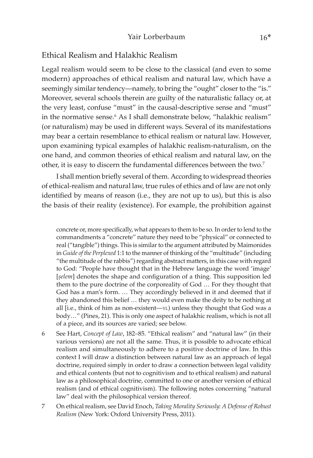## Ethical Realism and Halakhic Realism

Legal realism would seem to be close to the classical (and even to some modern) approaches of ethical realism and natural law, which have a seemingly similar tendency—namely, to bring the "ought" closer to the "is." Moreover, several schools therein are guilty of the naturalistic fallacy or, at the very least, confuse "must" in the causal-descriptive sense and "must" in the normative sense.<sup>6</sup> As I shall demonstrate below, "halakhic realism" (or naturalism) may be used in different ways. Several of its manifestations may bear a certain resemblance to ethical realism or natural law. However, upon examining typical examples of halakhic realism-naturalism, on the one hand, and common theories of ethical realism and natural law, on the other, it is easy to discern the fundamental differences between the two.<sup>7</sup>

I shall mention briefly several of them. According to widespread theories of ethical-realism and natural law, true rules of ethics and of law are not only identified by means of reason (i.e., they are not up to us), but this is also the basis of their reality (existence). For example, the prohibition against

concrete or, more specifically, what appears to them to be so. In order to lend to the commandments a "concrete" nature they need to be "physical" or connected to real ("tangible") things. This is similar to the argument attributed by Maimonides in *Guide of the Perplexed* 1:1 to the manner of thinking of the "multitude" (including "the multitude of the rabbis") regarding abstract matters, in this case with regard to God: "People have thought that in the Hebrew language the word 'image' [selem] denotes the shape and configuration of a thing. This supposition led them to the pure doctrine of the corporeality of God … For they thought that God has a man's form. … They accordingly believed in it and deemed that if they abandoned this belief … they would even make the deity to be nothing at all [i.e., think of him as non-existent-YL) unless they thought that God was a body…" (Pines, 21). This is only one aspect of halakhic realism, which is not all of a piece, and its sources are varied; see below.

- 6 See Hart, *Concept of Law*, 182–85. "Ethical realism" and "natural law" (in their various versions) are not all the same. Thus, it is possible to advocate ethical realism and simultaneously to adhere to a positive doctrine of law. In this context I will draw a distinction between natural law as an approach of legal doctrine, required simply in order to draw a connection between legal validity and ethical contents (but not to cognitivism and to ethical realism) and natural law as a philosophical doctrine, committed to one or another version of ethical realism (and of ethical cognitivism). The following notes concerning "natural law" deal with the philosophical version thereof.
- 7 On ethical realism, see David Enoch, *Taking Morality Seriously: A Defense of Robust Realism* (New York: Oxford University Press, 2011).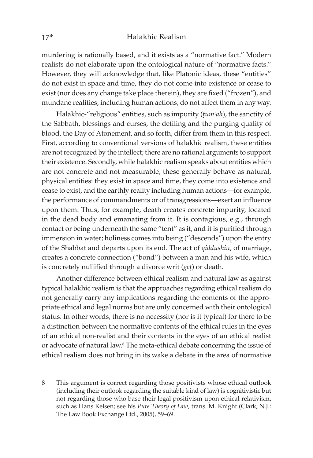murdering is rationally based, and it exists as a "normative fact." Modern realists do not elaborate upon the ontological nature of "normative facts." However, they will acknowledge that, like Platonic ideas, these "entities" do not exist in space and time, they do not come into existence or cease to exist (nor does any change take place therein), they are fixed ("frozen"), and mundane realities, including human actions, do not affect them in any way.

Halakhic-"religious" entities, such as impurity ( $tum$ <sup>2</sup>ah), the sanctity of the Sabbath, blessings and curses, the defiling and the purging quality of blood, the Day of Atonement, and so forth, differ from them in this respect. First, according to conventional versions of halakhic realism, these entities are not recognized by the intellect; there are no rational arguments to support their existence. Secondly, while halakhic realism speaks about entities which are not concrete and not measurable, these generally behave as natural, physical entities: they exist in space and time, they come into existence and cease to exist, and the earthly reality including human actions—for example, the performance of commandments or of transgressions—exert an influence upon them. Thus, for example, death creates concrete impurity, located in the dead body and emanating from it. It is contagious, e.g., through contact or being underneath the same "tent" as it, and it is purified through immersion in water; holiness comes into being ("descends") upon the entry of the Shabbat and departs upon its end. The act of *qiddushin*, of marriage, creates a concrete connection ("bond") between a man and his wife, which is concretely nullified through a divorce writ (*get*) or death.

Another difference between ethical realism and natural law as against typical halakhic realism is that the approaches regarding ethical realism do not generally carry any implications regarding the contents of the appropriate ethical and legal norms but are only concerned with their ontological status. In other words, there is no necessity (nor is it typical) for there to be a distinction between the normative contents of the ethical rules in the eyes of an ethical non-realist and their contents in the eyes of an ethical realist or advocate of natural law.<sup>8</sup> The meta-ethical debate concerning the issue of ethical realism does not bring in its wake a debate in the area of normative

8 This argument is correct regarding those positivists whose ethical outlook (including their outlook regarding the suitable kind of law) is cognitivistic but not regarding those who base their legal positivism upon ethical relativism, such as Hans Kelsen; see his *Pure Theory of Law*, trans. M. Knight (Clark, N.J.: The Law Book Exchange Ltd., 2005), 59–69.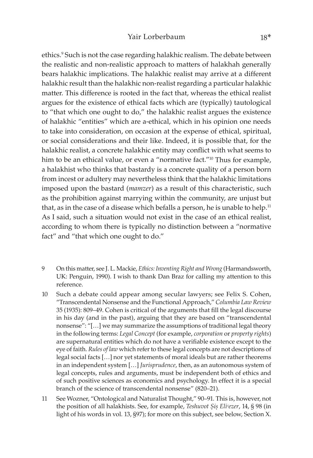ethics.9 Such is not the case regarding halakhic realism. The debate between the realistic and non-realistic approach to matters of halakhah generally bears halakhic implications. The halakhic realist may arrive at a different halakhic result than the halakhic non-realist regarding a particular halakhic matter. This difference is rooted in the fact that, whereas the ethical realist argues for the existence of ethical facts which are (typically) tautological to "that which one ought to do," the halakhic realist argues the existence of halakhic "entities" which are a-ethical, which in his opinion one needs to take into consideration, on occasion at the expense of ethical, spiritual, or social considerations and their like. Indeed, it is possible that, for the halakhic realist, a concrete halakhic entity may conflict with what seems to him to be an ethical value, or even a "normative fact."<sup>10</sup> Thus for example, a halakhist who thinks that bastardy is a concrete quality of a person born from incest or adultery may nevertheless think that the halakhic limitations imposed upon the bastard (*mamzer*) as a result of this characteristic, such as the prohibition against marrying within the community, are unjust but that, as in the case of a disease which befalls a person, he is unable to help.<sup>11</sup> As I said, such a situation would not exist in the case of an ethical realist, according to whom there is typically no distinction between a "normative fact" and "that which one ought to do."

- 9 On this matter, see J. L. Mackie, *Ethics: Inventing Right and Wrong* (Harmandsworth, UK: Penguin, 1990). I wish to thank Dan Braz for calling my attention to this reference.
- 10 Such a debate could appear among secular lawyers; see Felix S. Cohen, "Transcendental Nonsense and the Functional Approach," *Columbia Law Review*  35 (1935): 809–49. Cohen is critical of the arguments that fill the legal discourse in his day (and in the past), arguing that they are based on "transcendental nonsense": "[…] we may summarize the assumptions of traditional legal theory in the following terms: *Legal Concept* (for example, *corporation* or *property rights*) are supernatural entities which do not have a verifiable existence except to the eye of faith. *Rules of law* which refer to these legal concepts are not descriptions of legal social facts […] nor yet statements of moral ideals but are rather theorems in an independent system […] *Jurisprudence*, then, as an autonomous system of legal concepts, rules and arguments, must be independent both of ethics and of such positive sciences as economics and psychology. In effect it is a special branch of the science of transcendental nonsense" (820–21).
- 11 See Wozner, "Ontological and Naturalist Thought," 90–91. This is, however, not the position of all halakhists. See, for example, *Teshuvot Șiș Eli<sup><i>ezer*, 14, § 98 (in</sup> light of his words in vol. 13, §97); for more on this subject, see below, Section X.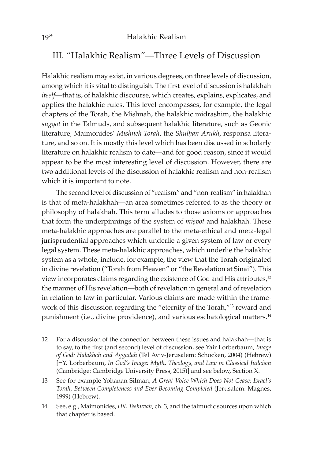## III. "Halakhic Realism"—Three Levels of Discussion

Halakhic realism may exist, in various degrees, on three levels of discussion, among which it is vital to distinguish. The first level of discussion is halakhah *itself—*that is, of halakhic discourse, which creates, explains, explicates, and applies the halakhic rules. This level encompasses, for example, the legal chapters of the Torah, the Mishnah, the halakhic midrashim, the halakhic *sugyot* in the Talmuds, and subsequent halakhic literature, such as Geonic literature, Maimonides' Mishneh Torah, the Shulhan Arukh, responsa literature, and so on. It is mostly this level which has been discussed in scholarly literature on halakhic realism to date—and for good reason, since it would appear to be the most interesting level of discussion. However, there are two additional levels of the discussion of halakhic realism and non-realism which it is important to note.

The second level of discussion of "realism" and "non-realism" in halakhah is that of meta-halakhah—an area sometimes referred to as the theory or philosophy of halakhah. This term alludes to those axioms or approaches that form the underpinnings of the system of *misvot* and halakhah. These meta-halakhic approaches are parallel to the meta-ethical and meta-legal jurisprudential approaches which underlie a given system of law or every legal system. These meta-halakhic approaches, which underlie the halakhic system as a whole, include, for example, the view that the Torah originated in divine revelation ("Torah from Heaven" or "the Revelation at Sinai"). This view incorporates claims regarding the existence of God and His attributes,<sup>12</sup> the manner of His revelation—both of revelation in general and of revelation in relation to law in particular. Various claims are made within the framework of this discussion regarding the "eternity of the Torah,"13 reward and punishment (i.e., divine providence), and various eschatological matters.<sup>14</sup>

- 12 For a discussion of the connection between these issues and halakhah—that is to say, to the first (and second) level of discussion, see Yair Lorberbaum, *Image of God: Halakhah and Aggadah* (Tel Aviv-Jerusalem: Schocken, 2004) (Hebrew) [=Y. Lorberbaum, *In God's Image: Myth, Theology, and Law in Classical Judaism* (Cambridge: Cambridge University Press, 2015)] and see below, Section X.
- 13 See for example Yohanan Silman, *A Great Voice Which Does Not Cease: Israel's Torah, Between Completeness and Ever-Becoming-Completed* (Jerusalem: Magnes, 1999) (Hebrew).
- 14 See, e.g., Maimonides, *Hil. Teshuvah*, ch. 3, and the talmudic sources upon which that chapter is based.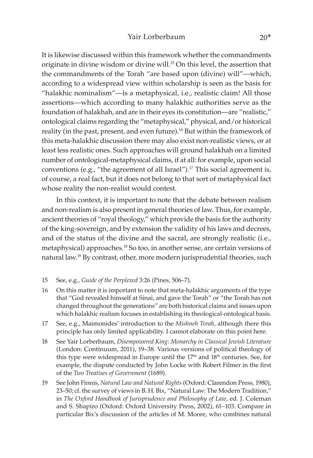It is likewise discussed within this framework whether the commandments originate in divine wisdom or divine will.15 On this level, the assertion that the commandments of the Torah "are based upon (divine) will"—which, according to a widespread view within scholarship is seen as the basis for "halakhic nominalism"—is a metaphysical, i.e., realistic claim! All those assertions—which according to many halakhic authorities serve as the foundation of halakhah, and are in their eyes its constitution—are "realistic," ontological claims regarding the "metaphysical," physical, and/or historical reality (in the past, present, and even future).<sup>16</sup> But within the framework of this meta-halakhic discussion there may also exist non-realistic views, or at least less realistic ones. Such approaches will ground halakhah on a limited number of ontological-metaphysical claims, if at all: for example, upon social conventions (e.g., "the agreement of all Israel").17 This social agreement is, of course, a real fact, but it does not belong to that sort of metaphysical fact whose reality the non-realist would contest.

In this context, it is important to note that the debate between realism and non-realism is also present in general theories of law. Thus, for example, ancient theories of "royal theology," which provide the basis for the authority of the king-sovereign, and by extension the validity of his laws and decrees, and of the status of the divine and the sacral, are strongly realistic (i.e., metaphysical) approaches.18 So too, in another sense, are certain versions of natural law.19 By contrast, other, more modern jurisprudential theories, such

- 15 See, e.g., *Guide of the Perplexed* 3:26 (Pines, 506–7).
- 16 On this matter it is important to note that meta-halakhic arguments of the type that "God revealed himself at Sinai, and gave the Torah" or "the Torah has not changed throughout the generations" are both historical claims and issues upon which halakhic realism focuses in establishing its theological-ontological basis.
- 17 See, e.g., Maimonides' introduction to the *Mishneh Torah*, although there this principle has only limited applicability. I cannot elaborate on this point here.
- 18 See Yair Lorberbaum, *Disempowered King: Monarchy in Classical Jewish Literature*  (London: Continuum, 2011), 19–38. Various versions of political theology of this type were widespread in Europe until the 17<sup>th</sup> and 18<sup>th</sup> centuries. See, for example, the dispute conducted by John Locke with Robert Filmer in the first of the *Two Treatises of Government* (1689).
- 19 See John Finnis, *Natural Law and Natural Rights* (Oxford: Clarendon Press, 1980), 23–50; cf. the survey of views in B. H. Bix, "Natural Law: The Modern Tradition," in *The Oxford Handbook of Jurisprudence and Philosophy of Law*, ed. J. Coleman and S. Shapiro (Oxford: Oxford University Press, 2002), 61–103. Compare in particular Bix's discussion of the articles of M. Moore, who combines natural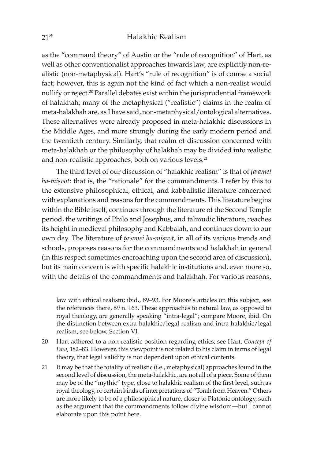as the "command theory" of Austin or the "rule of recognition" of Hart, as well as other conventionalist approaches towards law, are explicitly non-realistic (non-metaphysical). Hart's "rule of recognition" is of course a social fact; however, this is again not the kind of fact which a non-realist would nullify or reject.20 Parallel debates exist within the jurisprudential framework of halakhah; many of the metaphysical ("realistic") claims in the realm of meta-halakhah are, as I have said, non-metaphysical/ontological alternatives**.** These alternatives were already proposed in meta-halakhic discussions in the Middle Ages, and more strongly during the early modern period and the twentieth century. Similarly, that realm of discussion concerned with meta-halakhah or the philosophy of halakhah may be divided into realistic and non-realistic approaches, both on various levels.<sup>21</sup>

The third level of our discussion of "halakhic realism" is that of *ta°amei* ha-mișvot: that is, the "rationale" for the commandments. I refer by this to the extensive philosophical, ethical, and kabbalistic literature concerned with explanations and reasons for the commandments. This literature begins within the Bible itself, continues through the literature of the Second Temple period, the writings of Philo and Josephus, and talmudic literature, reaches its height in medieval philosophy and Kabbalah, and continues down to our own day. The literature of *ta<sup>c</sup>amei ha-misvot*, in all of its various trends and schools, proposes reasons for the commandments and halakhah in general (in this respect sometimes encroaching upon the second area of discussion), but its main concern is with specific halakhic institutions and, even more so, with the details of the commandments and halakhah. For various reasons,

law with ethical realism; ibid., 89–93. For Moore's articles on this subject, see the references there, 89 n. 163. These approaches to natural law, as opposed to royal theology, are generally speaking "intra-legal"; compare Moore, ibid. On the distinction between extra-halakhic/legal realism and intra-halakhic/legal realism, see below, Section VI.

- 20 Hart adhered to a non-realistic position regarding ethics; see Hart, *Concept of Law*, 182–83. However, this viewpoint is not related to his claim in terms of legal theory, that legal validity is not dependent upon ethical contents.
- 21 It may be that the totality of realistic (i.e., metaphysical) approaches found in the second level of discussion, the meta-halakhic, are not all of a piece. Some of them may be of the "mythic" type, close to halakhic realism of the first level, such as royal theology, or certain kinds of interpretations of "Torah from Heaven." Others are more likely to be of a philosophical nature, closer to Platonic ontology, such as the argument that the commandments follow divine wisdom—but I cannot elaborate upon this point here.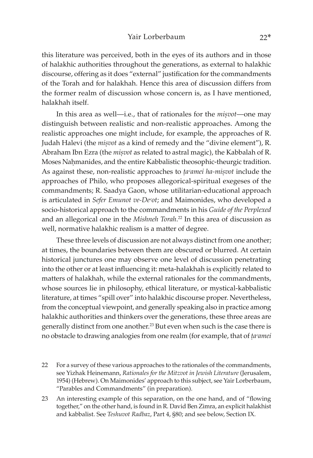this literature was perceived, both in the eyes of its authors and in those of halakhic authorities throughout the generations, as external to halakhic discourse, offering as it does "external" justification for the commandments of the Torah and for halakhah. Hence this area of discussion differs from the former realm of discussion whose concern is, as I have mentioned, halakhah itself.

In this area as well—i.e., that of rationales for the *misvot*—one may distinguish between realistic and non-realistic approaches. Among the realistic approaches one might include, for example, the approaches of R. Judah Halevi (the *misvot* as a kind of remedy and the "divine element"), R. Abraham Ibn Ezra (the *misvot* as related to astral magic), the Kabbalah of R. Moses Nahmanides, and the entire Kabbalistic theosophic-theurgic tradition. As against these, non-realistic approaches to *ta°amei ha-misvot* include the approaches of Philo, who proposes allegorical-spiritual exegeses of the commandments; R. Saadya Gaon, whose utilitarian-educational approach is articulated in *Sefer Emunot ve-Deᶜot*; and Maimonides, who developed a socio-historical approach to the commandments in his *Guide of the Perplexed* and an allegorical one in the *Mishneh Torah*. 22 In this area of discussion as well, normative halakhic realism is a matter of degree.

These three levels of discussion are not always distinct from one another; at times, the boundaries between them are obscured or blurred. At certain historical junctures one may observe one level of discussion penetrating into the other or at least influencing it: meta-halakhah is explicitly related to matters of halakhah, while the external rationales for the commandments, whose sources lie in philosophy, ethical literature, or mystical-kabbalistic literature, at times "spill over" into halakhic discourse proper. Nevertheless, from the conceptual viewpoint, and generally speaking also in practice among halakhic authorities and thinkers over the generations, these three areas are generally distinct from one another.<sup>23</sup> But even when such is the case there is no obstacle to drawing analogies from one realm (for example, that of *ûaᶜamei* 

- 22 For a survey of these various approaches to the rationales of the commandments, see Yizhak Heinemann, *Rationales for the Mitzvot in Jewish Literature* (Jerusalem, 1954) (Hebrew). On Maimonides' approach to this subject, see Yair Lorberbaum, "Parables and Commandments" (in preparation).
- 23 An interesting example of this separation, on the one hand, and of "flowing together," on the other hand, is found in R. David Ben Zimra, an explicit halakhist and kabbalist. See *Teshuvot Radbaz*, Part 4, §80; and see below, Section IX.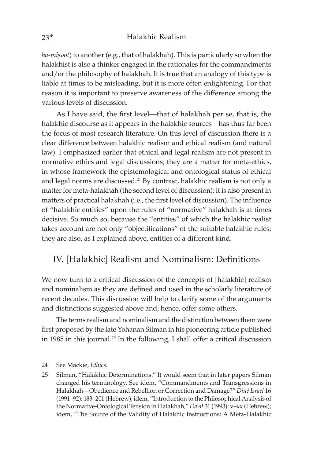ha-misvot) to another (e.g., that of halakhah). This is particularly so when the halakhist is also a thinker engaged in the rationales for the commandments and/or the philosophy of halakhah. It is true that an analogy of this type is liable at times to be misleading, but it is more often enlightening. For that reason it is important to preserve awareness of the difference among the various levels of discussion.

As I have said, the first level—that of halakhah per se, that is, the halakhic discourse as it appears in the halakhic sources—has thus far been the focus of most research literature. On this level of discussion there is a clear difference between halakhic realism and ethical realism (and natural law). I emphasized earlier that ethical and legal realism are not present in normative ethics and legal discussions; they are a matter for meta-ethics, in whose framework the epistemological and ontological status of ethical and legal norms are discussed.<sup>24</sup> By contrast, halakhic realism is not only a matter for meta-halakhah (the second level of discussion): it is also present in matters of practical halakhah (i.e., the first level of discussion). The influence of "halakhic entities" upon the rules of "normative" halakhah is at times decisive. So much so, because the "entities" of which the halakhic realist takes account are not only "objectifications" of the suitable halakhic rules; they are also, as I explained above, entities of a different kind.

## IV. [Halakhic] Realism and Nominalism: Definitions

We now turn to a critical discussion of the concepts of [halakhic] realism and nominalism as they are defined and used in the scholarly literature of recent decades. This discussion will help to clarify some of the arguments and distinctions suggested above and, hence, offer some others.

The terms realism and nominalism and the distinction between them were first proposed by the late Yohanan Silman in his pioneering article published in 1985 in this journal.<sup>25</sup> In the following, I shall offer a critical discussion

<sup>24</sup> See Mackie, *Ethics*.

<sup>25</sup> Silman, "Halakhic Determinations." It would seem that in later papers Silman changed his terminology. See idem, "Commandments and Transgressions in Halakhah—Obedience and Rebellion or Correction and Damage?" *Diné Israel* 16 (1991–92): 183–201 (Hebrew); idem, "Introduction to the Philosophical Analysis of the Normative-Ontological Tension in Halakhah," *Daᶜat* 31 (1993): v–xx (Hebrew); idem, "The Source of the Validity of Halakhic Instructions: A Meta-Halakhic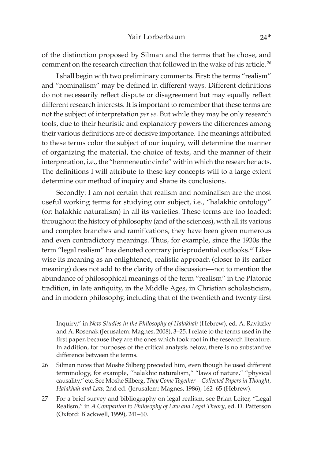of the distinction proposed by Silman and the terms that he chose, and comment on the research direction that followed in the wake of his article. <sup>26</sup>

I shall begin with two preliminary comments. First: the terms "realism" and "nominalism" may be defined in different ways. Different definitions do not necessarily reflect dispute or disagreement but may equally reflect different research interests. It is important to remember that these terms are not the subject of interpretation *per se*. But while they may be only research tools, due to their heuristic and explanatory powers the differences among their various definitions are of decisive importance. The meanings attributed to these terms color the subject of our inquiry, will determine the manner of organizing the material, the choice of texts, and the manner of their interpretation, i.e., the "hermeneutic circle" within which the researcher acts. The definitions I will attribute to these key concepts will to a large extent determine our method of inquiry and shape its conclusions.

Secondly: I am not certain that realism and nominalism are the most useful working terms for studying our subject, i.e., "halakhic ontology" (or: halakhic naturalism) in all its varieties. These terms are too loaded: throughout the history of philosophy (and of the sciences), with all its various and complex branches and ramifications, they have been given numerous and even contradictory meanings. Thus, for example, since the 1930s the term "legal realism" has denoted contrary jurisprudential outlooks.<sup>27</sup> Likewise its meaning as an enlightened, realistic approach (closer to its earlier meaning) does not add to the clarity of the discussion—not to mention the abundance of philosophical meanings of the term "realism" in the Platonic tradition, in late antiquity, in the Middle Ages, in Christian scholasticism, and in modern philosophy, including that of the twentieth and twenty-first

Inquiry," in *New Studies in the Philosophy of Halakhah* (Hebrew), ed. A. Ravitzky and A. Rosenak (Jerusalem: Magnes, 2008), 3–25. I relate to the terms used in the first paper, because they are the ones which took root in the research literature. In addition, for purposes of the critical analysis below, there is no substantive difference between the terms.

- 26 Silman notes that Moshe Silberg preceded him, even though he used different terminology, for example, "halakhic naturalism," "laws of nature," "physical causality," etc. See Moshe Silberg, *They Come Together—Collected Papers in Thought, Halakhah and Law,* 2nd ed. (Jerusalem: Magnes, 1986), 162–65 (Hebrew).
- 27 For a brief survey and bibliography on legal realism, see Brian Leiter, "Legal Realism," in *A Companion to Philosophy of Law and Legal Theory*, ed. D. Patterson (Oxford: Blackwell, 1999), 241–60.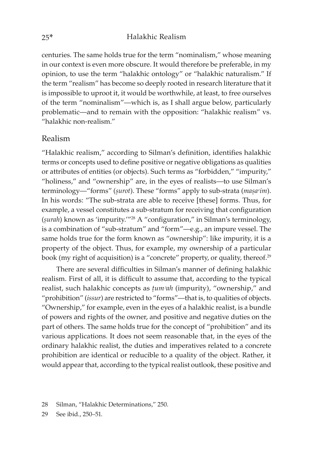centuries. The same holds true for the term "nominalism," whose meaning in our context is even more obscure. It would therefore be preferable, in my opinion, to use the term "halakhic ontology" or "halakhic naturalism." If the term "realism" has become so deeply rooted in research literature that it is impossible to uproot it, it would be worthwhile, at least, to free ourselves of the term "nominalism"—which is, as I shall argue below, particularly problematic—and to remain with the opposition: "halakhic realism" vs. "halakhic non-realism."

## Realism

"Halakhic realism," according to Silman's definition, identifies halakhic terms or concepts used to define positive or negative obligations as qualities or attributes of entities (or objects). Such terms as "forbidden," "impurity," "holiness," and "ownership" are, in the eyes of realists—to use Silman's terminology—"forms" (*surot*). These "forms" apply to sub-strata (*masa<sup>c</sup>im*). In his words: "The sub-strata are able to receive [these] forms. Thus, for example, a vessel constitutes a sub-stratum for receiving that configuration (*úurah*) known as 'impurity.'"28 A "configuration," in Silman's terminology, is a combination of "sub-stratum" and "form"—e.g., an impure vessel. The same holds true for the form known as "ownership": like impurity, it is a property of the object. Thus, for example, my ownership of a particular book (my right of acquisition) is a "concrete" property, or quality, thereof.<sup>29</sup>

There are several difficulties in Silman's manner of defining halakhic realism. First of all, it is difficult to assume that, according to the typical realist, such halakhic concepts as  $tum<sup>2</sup>ah$  (impurity), "ownership," and "prohibition" (*issur*) are restricted to "forms"—that is, to qualities of objects. "Ownership," for example, even in the eyes of a halakhic realist, is a bundle of powers and rights of the owner, and positive and negative duties on the part of others. The same holds true for the concept of "prohibition" and its various applications. It does not seem reasonable that, in the eyes of the ordinary halakhic realist, the duties and imperatives related to a concrete prohibition are identical or reducible to a quality of the object. Rather, it would appear that, according to the typical realist outlook, these positive and

<sup>28</sup> Silman, "Halakhic Determinations," 250.

<sup>29</sup> See ibid., 250–51.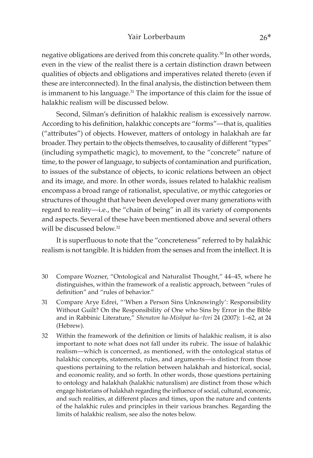negative obligations are derived from this concrete quality.30 In other words, even in the view of the realist there is a certain distinction drawn between qualities of objects and obligations and imperatives related thereto (even if these are interconnected). In the final analysis, the distinction between them is immanent to his language.<sup>31</sup> The importance of this claim for the issue of halakhic realism will be discussed below.

Second, Silman's definition of halakhic realism is excessively narrow. According to his definition, halakhic concepts are "forms"—that is, qualities ("attributes") of objects. However, matters of ontology in halakhah are far broader. They pertain to the objects themselves, to causality of different "types" (including sympathetic magic), to movement, to the "concrete" nature of time, to the power of language, to subjects of contamination and purification, to issues of the substance of objects, to iconic relations between an object and its image, and more. In other words, issues related to halakhic realism encompass a broad range of rationalist, speculative, or mythic categories or structures of thought that have been developed over many generations with regard to reality—i.e., the "chain of being" in all its variety of components and aspects. Several of these have been mentioned above and several others will be discussed below.<sup>32</sup>

It is superfluous to note that the "concreteness" referred to by halakhic realism is not tangible. It is hidden from the senses and from the intellect. It is

- 30 Compare Wozner, "Ontological and Naturalist Thought," 44–45, where he distinguishes, within the framework of a realistic approach, between "rules of definition" and "rules of behavior."
- 31 Compare Arye Edrei, "'When a Person Sins Unknowingly': Responsibility Without Guilt? On the Responsibility of One who Sins by Error in the Bible and in Rabbinic Literature," *Shenaton ha-Mishpat ha-ᶜIvri* 24 (2007): 1–62, at 24 (Hebrew).
- 32 Within the framework of the definition or limits of halakhic realism, it is also important to note what does not fall under its rubric. The issue of halakhic realism—which is concerned, as mentioned, with the ontological status of halakhic concepts, statements, rules, and arguments—is distinct from those questions pertaining to the relation between halakhah and historical, social, and economic reality, and so forth. In other words, those questions pertaining to ontology and halakhah (halakhic naturalism) are distinct from those which engage historians of halakhah regarding the influence of social, cultural, economic, and such realities, at different places and times, upon the nature and contents of the halakhic rules and principles in their various branches. Regarding the limits of halakhic realism, see also the notes below.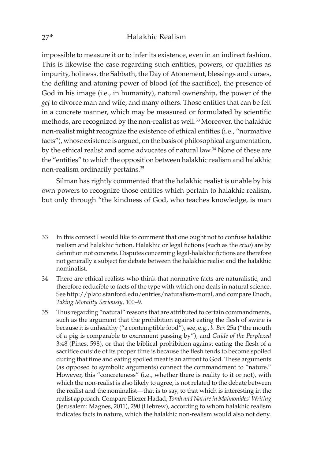impossible to measure it or to infer its existence, even in an indirect fashion. This is likewise the case regarding such entities, powers, or qualities as impurity, holiness, the Sabbath, the Day of Atonement, blessings and curses, the defiling and atoning power of blood (of the sacrifice), the presence of God in his image (i.e., in humanity), natural ownership, the power of the *geû* to divorce man and wife, and many others. Those entities that can be felt in a concrete manner, which may be measured or formulated by scientific methods, are recognized by the non-realist as well.33 Moreover, the halakhic non-realist might recognize the existence of ethical entities (i.e., "normative facts"), whose existence is argued, on the basis of philosophical argumentation, by the ethical realist and some advocates of natural law.34 None of these are the "entities" to which the opposition between halakhic realism and halakhic non-realism ordinarily pertains.35

Silman has rightly commented that the halakhic realist is unable by his own powers to recognize those entities which pertain to halakhic realism, but only through "the kindness of God, who teaches knowledge, is man

- 33 In this context I would like to comment that one ought not to confuse halakhic realism and halakhic fiction. Halakhic or legal fictions (such as the *eruv*) are by definition not concrete. Disputes concerning legal-halakhic fictions are therefore not generally a subject for debate between the halakhic realist and the halakhic nominalist.
- 34 There are ethical realists who think that normative facts are naturalistic, and therefore reducible to facts of the type with which one deals in natural science. See http://plato.stanford.edu/entries/naturalism-moral, and compare Enoch, *Taking Morality Seriously*, 100–9.
- 35 Thus regarding "natural" reasons that are attributed to certain commandments, such as the argument that the prohibition against eating the flesh of swine is because it is unhealthy ("a contemptible food"), see, e.g., *b. Ber.* 25a ("the mouth of a pig is comparable to excrement passing by"), and *Guide of the Perplexed*  3:48 (Pines, 598), or that the biblical prohibition against eating the flesh of a sacrifice outside of its proper time is because the flesh tends to become spoiled during that time and eating spoiled meat is an affront to God. These arguments (as opposed to symbolic arguments) connect the commandment to "nature." However, this "concreteness" (i.e., whether there is reality to it or not), with which the non-realist is also likely to agree, is not related to the debate between the realist and the nominalist—that is to say, to that which is interesting in the realist approach. Compare Eliezer Hadad, *Torah and Nature in Maimonides' Writing*  (Jerusalem: Magnes, 2011), 290 (Hebrew), according to whom halakhic realism indicates facts in nature, which the halakhic non-realism would also not deny.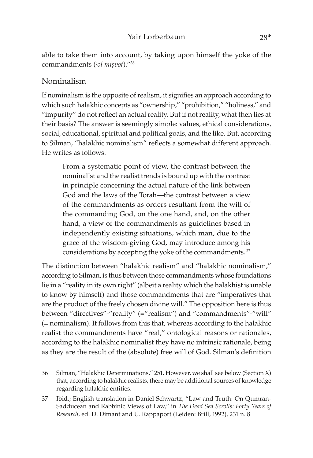able to take them into account, by taking upon himself the yoke of the commandments (*col misvot*)."36

## Nominalism

If nominalism is the opposite of realism, it signifies an approach according to which such halakhic concepts as "ownership," "prohibition," "holiness," and "impurity" do not reflect an actual reality. But if not reality, what then lies at their basis? The answer is seemingly simple: values, ethical considerations, social, educational, spiritual and political goals, and the like. But, according to Silman, "halakhic nominalism" reflects a somewhat different approach. He writes as follows:

From a systematic point of view, the contrast between the nominalist and the realist trends is bound up with the contrast in principle concerning the actual nature of the link between God and the laws of the Torah—the contrast between a view of the commandments as orders resultant from the will of the commanding God, on the one hand, and, on the other hand, a view of the commandments as guidelines based in independently existing situations, which man, due to the grace of the wisdom-giving God, may introduce among his considerations by accepting the yoke of the commandments. <sup>37</sup>

The distinction between "halakhic realism" and "halakhic nominalism," according to Silman, is thus between those commandments whose foundations lie in a "reality in its own right" (albeit a reality which the halakhist is unable to know by himself) and those commandments that are "imperatives that are the product of the freely chosen divine will." The opposition here is thus between "directives"-"reality" (="realism") and "commandments"-"will" (= nominalism). It follows from this that, whereas according to the halakhic realist the commandments have "real," ontological reasons or rationales, according to the halakhic nominalist they have no intrinsic rationale, being as they are the result of the (absolute) free will of God. Silman's definition

<sup>36</sup> Silman, "Halakhic Determinations," 251. However, we shall see below (Section X) that, according to halakhic realists, there may be additional sources of knowledge regarding halakhic entities.

<sup>37</sup> Ibid.; English translation in Daniel Schwartz, "Law and Truth: On Qumran-Sadducean and Rabbinic Views of Law," in *The Dead Sea Scrolls: Forty Years of Research*, ed. D. Dimant and U. Rappaport (Leiden: Brill, 1992), 231 n. 8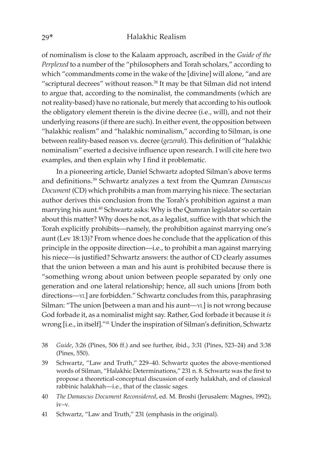of nominalism is close to the Kalaam approach, ascribed in the *Guide of the Perplexed* to a number of the "philosophers and Torah scholars," according to which "commandments come in the wake of the [divine] will alone, "and are "scriptural decrees" without reason.<sup>38</sup> It may be that Silman did not intend to argue that, according to the nominalist, the commandments (which are not reality-based) have no rationale, but merely that according to his outlook the obligatory element therein is the divine decree (i.e., will), and not their underlying reasons (if there are such). In either event, the opposition between "halakhic realism" and "halakhic nominalism," according to Silman, is one between reality-based reason vs. decree (*gezerah*). This definition of "halakhic nominalism" exerted a decisive influence upon research. I will cite here two examples, and then explain why I find it problematic.

In a pioneering article, Daniel Schwartz adopted Silman's above terms and definitions.39 Schwartz analyzes a text from the Qumran *Damascus Document* (CD) which prohibits a man from marrying his niece. The sectarian author derives this conclusion from the Torah's prohibition against a man marrying his aunt.40 Schwartz asks: Why is the Qumran legislator so certain about this matter? Why does he not, as a legalist, suffice with that which the Torah explicitly prohibits—namely, the prohibition against marrying one's aunt (Lev 18:13)? From whence does he conclude that the application of this principle in the opposite direction—i.e., to prohibit a man against marrying his niece—is justified? Schwartz answers: the author of CD clearly assumes that the union between a man and his aunt is prohibited because there is "something wrong about union between people separated by only one generation and one lateral relationship; hence, all such unions [from both directions—yl] are forbidden." Schwartz concludes from this, paraphrasing Silman: "The union [between a man and his aunt—YL] is not wrong because God forbade it, as a nominalist might say. Rather, God forbade it because it *is*  wrong [i.e., in itself]."41 Under the inspiration of Silman's definition, Schwartz

- 38 *Guide*, 3:26 (Pines, 506 ff.) and see further, ibid., 3:31 (Pines, 523–24) and 3:38 (Pines, 550).
- 39 Schwartz, "Law and Truth," 229–40. Schwartz quotes the above-mentioned words of Silman, "Halakhic Determinations," 231 n. 8. Schwartz was the first to propose a theoretical-conceptual discussion of early halakhah, and of classical rabbinic halakhah—i.e., that of the classic sages.
- 40 *The Damascus Document Reconsidered*, ed. M. Broshi (Jerusalem: Magnes, 1992), iv–v.
- 41 Schwartz, "Law and Truth," 231 (emphasis in the original).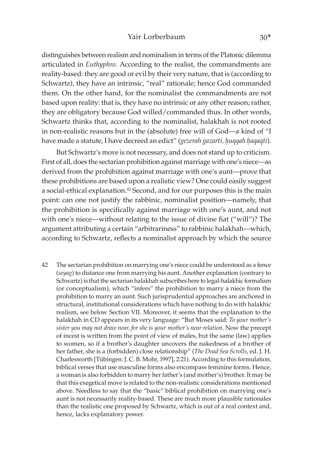### Yair Lorberbaum 30\*

distinguishes between realism and nominalism in terms of the Platonic dilemma articulated in *Euthyphro.* According to the realist, the commandments are reality-based: they are good or evil by their very nature, that is (according to Schwartz), they have an intrinsic, "real" rationale; hence God commanded them. On the other hand, for the nominalist the commandments are not based upon reality: that is, they have no intrinsic or any other reason; rather, they are obligatory because God willed/commanded thus. In other words, Schwartz thinks that, according to the nominalist, halakhah is not rooted in non-realistic reasons but in the (absolute) free will of God—a kind of "I have made a statute, I have decreed an edict" (*gezerah gazarti*, huqqah haqaqti).

But Schwartz's move is not necessary, and does not stand up to criticism. First of all, does the sectarian prohibition against marriage with one's niece—as derived from the prohibition against marriage with one's aunt—prove that these prohibitions are based upon a realistic view? One could easily suggest a social-ethical explanation.42 Second, and for our purposes this is the main point: can one not justify the rabbinic, nominalist position—namely, that the prohibition is specifically against marriage with one's aunt, and not with one's niece—without relating to the issue of divine fiat ("will")? The argument attributing a certain "arbitrariness" to rabbinic halakhah—which, according to Schwartz, reflects a nominalist approach by which the source

42 The sectarian prohibition on marrying one's niece could be understood as a fence (*seyag*) to distance one from marrying his aunt. Another explanation (contrary to Schwartz) is that the sectarian halakhah subscribes here to legal-halakhic formalism (or conceptualism), which "infers" the prohibition to marry a niece from the prohibition to marry an aunt. Such jurisprudential approaches are anchored in structural, institutional considerations which have nothing to do with halakhic realism, see below Section VII. Moreover, it seems that the explanation to the halakhah in CD appears in its very language: "But Moses said: *To your mother's sister you may not draw near, for she is your mother's near relation*. Now the precept of incest is written from the point of view of males, but the same (law) applies to women, so if a brother's daughter uncovers the nakedness of a brother of her father, she is a (forbidden) close relationship" (*The Dead Sea Scrolls*, ed. J. H. Charlesworth [Tübingen: J. C. B. Mohr, 1997], 2:21). According to this formulation, biblical verses that use masculine forms also encompass feminine forms. Hence, a woman is also forbidden to marry her father's (and mother's) brother. It may be that this exegetical move is related to the non-realistic considerations mentioned above. Needless to say that the "basic" biblical prohibition on marrying one's aunt is not necessarily reality-based. These are much more plausible rationales than the realistic one proposed by Schwartz, which is out of a real context and, hence, lacks explanatory power.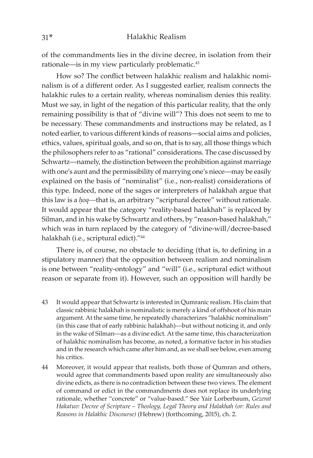of the commandments lies in the divine decree, in isolation from their rationale—is in my view particularly problematic.<sup>43</sup>

How so? The conflict between halakhic realism and halakhic nominalism is of a different order. As I suggested earlier, realism connects the halakhic rules to a certain reality, whereas nominalism denies this reality. Must we say, in light of the negation of this particular reality, that the only remaining possibility is that of "divine will"? This does not seem to me to be necessary. These commandments and instructions may be related, as I noted earlier, to various different kinds of reasons—social aims and policies, ethics, values, spiritual goals, and so on, that is to say, all those things which the philosophers refer to as "rational" considerations. The case discussed by Schwartz—namely, the distinction between the prohibition against marriage with one's aunt and the permissibility of marrying one's niece—may be easily explained on the basis of "nominalist" (i.e., non-realist) considerations of this type. Indeed, none of the sages or interpreters of halakhah argue that this law is a *hoq*—that is, an arbitrary "scriptural decree" without rationale. It would appear that the category "reality-based halakhah" is replaced by Silman, and in his wake by Schwartz and others, by "reason-based halakhah," which was in turn replaced by the category of "divine-will/decree-based halakhah (i.e., scriptural edict)."44

There is, of course, no obstacle to deciding (that is, to defining in a stipulatory manner) that the opposition between realism and nominalism is one between "reality-ontology" and "will" (i.e., scriptural edict without reason or separate from it). However, such an opposition will hardly be

- 43 It would appear that Schwartz is interested in Qumranic realism. His claim that classic rabbinic halakhah is nominalistic is merely a kind of offshoot of his main argument. At the same time, he repeatedly characterizes "halakhic nominalism" (in this case that of early rabbinic halakhah)—but without noticing it, and only in the wake of Silman—as a divine edict. At the same time, this characterization of halakhic nominalism has become, as noted, a formative factor in his studies and in the research which came after him and, as we shall see below, even among his critics.
- 44 Moreover, it would appear that realists, both those of Qumran and others, would agree that commandments based upon reality are simultaneously also divine edicts, as there is no contradiction between these two views. The element of command or edict in the commandments does not replace its underlying rationale, whether "concrete" or "value-based." See Yair Lorberbaum, *Gezerat Hakatuv: Decree of Scripture – Theology, Legal Theory and Halakhah (or: Rules and Reasons in Halakhic Discourse)* (Hebrew) (forthcoming, 2015), ch. 2.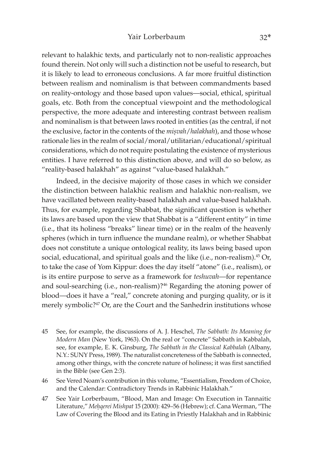relevant to halakhic texts, and particularly not to non-realistic approaches found therein. Not only will such a distinction not be useful to research, but it is likely to lead to erroneous conclusions. A far more fruitful distinction between realism and nominalism is that between commandments based on reality-ontology and those based upon values—social, ethical, spiritual goals, etc. Both from the conceptual viewpoint and the methodological perspective, the more adequate and interesting contrast between realism and nominalism is that between laws rooted in entities (as the central, if not the exclusive, factor in the contents of the *misvah* / halakhah), and those whose rationale lies in the realm of social/moral/utilitarian/educational/spiritual considerations, which do not require postulating the existence of mysterious entities. I have referred to this distinction above, and will do so below, as "reality-based halakhah" as against "value-based halakhah."

Indeed, in the decisive majority of those cases in which we consider the distinction between halakhic realism and halakhic non-realism, we have vacillated between reality-based halakhah and value-based halakhah. Thus, for example, regarding Shabbat, the significant question is whether its laws are based upon the view that Shabbat is a "different entity" in time (i.e., that its holiness "breaks" linear time) or in the realm of the heavenly spheres (which in turn influence the mundane realm), or whether Shabbat does not constitute a unique ontological reality, its laws being based upon social, educational, and spiritual goals and the like (i.e., non-realism).<sup>45</sup> Or, to take the case of Yom Kippur: does the day itself "atone" (i.e., realism), or is its entire purpose to serve as a framework for *teshuvah*—for repentance and soul-searching (i.e., non-realism)?<sup>46</sup> Regarding the atoning power of blood—does it have a "real," concrete atoning and purging quality, or is it merely symbolic?<sup>47</sup> Or, are the Court and the Sanhedrin institutions whose

- 45 See, for example, the discussions of A. J. Heschel, *The Sabbath: Its Meaning for Modern Man* (New York, 1963). On the real or "concrete" Sabbath in Kabbalah, see, for example, E. K. Ginsburg, *The Sabbath in the Classical Kabbalah* (Albany, N.Y.: SUNY Press, 1989). The naturalist concreteness of the Sabbath is connected, among other things, with the concrete nature of holiness; it was first sanctified in the Bible (see Gen 2:3).
- 46 See Vered Noam's contribution in this volume, "Essentialism, Freedom of Choice, and the Calendar: Contradictory Trends in Rabbinic Halakhah."
- 47 See Yair Lorberbaum, "Blood, Man and Image: On Execution in Tannaitic Literature," *Meêqerei Mishpat* 15 (2000): 429–56 (Hebrew); cf. Cana Werman, "The Law of Covering the Blood and its Eating in Priestly Halakhah and in Rabbinic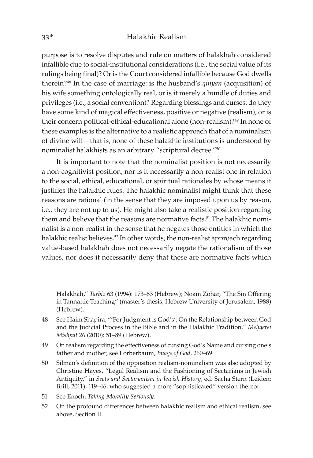purpose is to resolve disputes and rule on matters of halakhah considered infallible due to social-institutional considerations (i.e., the social value of its rulings being final)? Or is the Court considered infallible because God dwells therein?48 In the case of marriage: is the husband's *qinyan* (acquisition) of his wife something ontologically real, or is it merely a bundle of duties and privileges (i.e., a social convention)? Regarding blessings and curses: do they have some kind of magical effectiveness, positive or negative (realism), or is their concern political-ethical-educational alone (non-realism)?<sup>49</sup> In none of these examples is the alternative to a realistic approach that of a nominalism of divine will—that is, none of these halakhic institutions is understood by nominalist halakhists as an arbitrary "scriptural decree."50

It is important to note that the nominalist position is not necessarily a non-cognitivist position, nor is it necessarily a non-realist one in relation to the social, ethical, educational, or spiritual rationales by whose means it justifies the halakhic rules. The halakhic nominalist might think that these reasons are rational (in the sense that they are imposed upon us by reason, i.e., they are not up to us). He might also take a realistic position regarding them and believe that the reasons are normative facts.<sup>51</sup> The halakhic nominalist is a non-realist in the sense that he negates those entities in which the halakhic realist believes.<sup>52</sup> In other words, the non-realist approach regarding value-based halakhah does not necessarily negate the rationalism of those values, nor does it necessarily deny that these are normative facts which

Halakhah," *Tarbiz* 63 (1994): 173–83 (Hebrew); Noam Zohar, "The Sin Offering in Tannaitic Teaching" (master's thesis, Hebrew University of Jerusalem, 1988) (Hebrew).

- 48 See Haim Shapira, "'For Judgment is God's': On the Relationship between God and the Judicial Process in the Bible and in the Halakhic Tradition," Mehqerei *Mishpat* 26 (2010): 51–89 (Hebrew).
- 49 On realism regarding the effectiveness of cursing God's Name and cursing one's father and mother, see Lorberbaum, *Image of God,* 260–69.
- 50 Silman's definition of the opposition realism-nominalism was also adopted by Christine Hayes, "Legal Realism and the Fashioning of Sectarians in Jewish Antiquity," in *Sects and Sectarianism in Jewish History*, ed. Sacha Stern (Leiden: Brill, 2011), 119–46, who suggested a more "sophisticated" version thereof.
- 51 See Enoch, *Taking Morality Seriously*.
- 52 On the profound differences between halakhic realism and ethical realism, see above, Section II.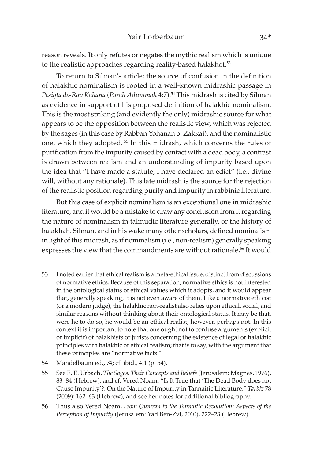reason reveals. It only refutes or negates the mythic realism which is unique to the realistic approaches regarding reality-based halakhot.<sup>53</sup>

To return to Silman's article: the source of confusion in the definition of halakhic nominalism is rooted in a well-known midrashic passage in *Pesiqta de-Rav Kahana* (*Parah Adummah* 4:7).54 This midrash is cited by Silman as evidence in support of his proposed definition of halakhic nominalism. This is the most striking (and evidently the only) midrashic source for what appears to be the opposition between the realistic view, which was rejected by the sages (in this case by Rabban Yohanan b. Zakkai), and the nominalistic one, which they adopted. 55 In this midrash, which concerns the rules of purification from the impurity caused by contact with a dead body, a contrast is drawn between realism and an understanding of impurity based upon the idea that "I have made a statute, I have declared an edict" (i.e., divine will, without any rationale). This late midrash is the source for the rejection of the realistic position regarding purity and impurity in rabbinic literature.

But this case of explicit nominalism is an exceptional one in midrashic literature, and it would be a mistake to draw any conclusion from it regarding the nature of nominalism in talmudic literature generally, or the history of halakhah. Silman, and in his wake many other scholars, defined nominalism in light of this midrash, as if nominalism (i.e., non-realism) generally speaking expresses the view that the commandments are without rationale**.** 56 It would

- 53 I noted earlier that ethical realism is a meta-ethical issue, distinct from discussions of normative ethics. Because of this separation, normative ethics is not interested in the ontological status of ethical values which it adopts, and it would appear that, generally speaking, it is not even aware of them. Like a normative ethicist (or a modern judge), the halakhic non-realist also relies upon ethical, social, and similar reasons without thinking about their ontological status. It may be that, were he to do so, he would be an ethical realist; however, perhaps not. In this context it is important to note that one ought not to confuse arguments (explicit or implicit) of halakhists or jurists concerning the existence of legal or halakhic principles with halakhic or ethical realism; that is to say, with the argument that these principles are "normative facts."
- 54 Mandelbaum ed., 74; cf. ibid., 4:1 (p. 54).
- 55 See E. E. Urbach, *The Sages: Their Concepts and Beliefs* (Jerusalem: Magnes, 1976), 83–84 (Hebrew); and cf. Vered Noam, "Is It True that 'The Dead Body does not Cause Impurity'?: On the Nature of Impurity in Tannaitic Literature," *Tarbiz* 78 (2009): 162–63 (Hebrew), and see her notes for additional bibliography.
- 56 Thus also Vered Noam, *From Qumran to the Tannaitic Revolution: Aspects of the Perception of Impurity* (Jerusalem: Yad Ben-Zvi, 2010), 222–23 (Hebrew).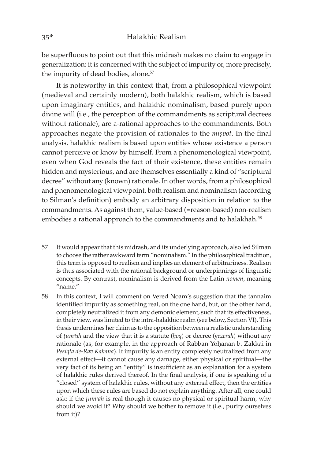be superfluous to point out that this midrash makes no claim to engage in generalization: it is concerned with the subject of impurity or, more precisely, the impurity of dead bodies, alone**.** 57

It is noteworthy in this context that, from a philosophical viewpoint (medieval and certainly modern), both halakhic realism, which is based upon imaginary entities, and halakhic nominalism, based purely upon divine will (i.e., the perception of the commandments as scriptural decrees without rationale), are a-rational approaches to the commandments. Both approaches negate the provision of rationales to the *misvot*. In the final analysis, halakhic realism is based upon entities whose existence a person cannot perceive or know by himself. From a phenomenological viewpoint, even when God reveals the fact of their existence, these entities remain hidden and mysterious, and are themselves essentially a kind of "scriptural decree" without any (known) rationale. In other words, from a philosophical and phenomenological viewpoint, both realism and nominalism (according to Silman's definition) embody an arbitrary disposition in relation to the commandments. As against them, value-based (=reason-based) non-realism embodies a rational approach to the commandments and to halakhah.<sup>58</sup>

- 57 It would appear that this midrash, and its underlying approach, also led Silman to choose the rather awkward term "nominalism." In the philosophical tradition, this term is opposed to realism and implies an element of arbitrariness. Realism is thus associated with the rational background or underpinnings of linguistic concepts. By contrast, nominalism is derived from the Latin *nomen*, meaning "name."
- 58 In this context, I will comment on Vered Noam's suggestion that the tannaim identified impurity as something real, on the one hand, but, on the other hand, completely neutralized it from any demonic element, such that its effectiveness, in their view, was limited to the intra-halakhic realm (see below, Section VI). This thesis undermines her claim as to the opposition between a realistic understanding of *ûumᵓah* and the view that it is a statute (*êoq*) or decree (*gezerah*) without any rationale (as, for example, in the approach of Rabban Yoḥanan b. Zakkai in *Pesiqta de-Rav Kahana*). If impurity is an entity completely neutralized from any external effect—it cannot cause any damage, either physical or spiritual—the very fact of its being an "entity" is insufficient as an explanation for a system of halakhic rules derived thereof. In the final analysis, if one is speaking of a "closed" system of halakhic rules, without any external effect, then the entities upon which these rules are based do not explain anything. After all, one could ask: if the *tum<sup><i>ah*</sup> is real though it causes no physical or spiritual harm, why should we avoid it? Why should we bother to remove it (i.e., purify ourselves from it)?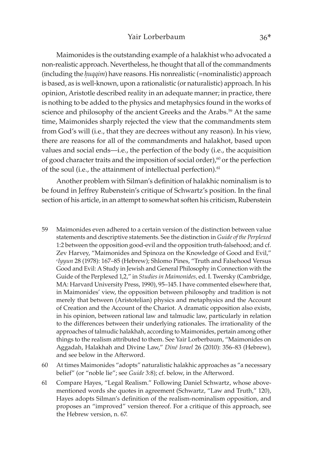Maimonides is the outstanding example of a halakhist who advocated a non-realistic approach. Nevertheless, he thought that all of the commandments (including the *huqqim*) have reasons. His nonrealistic (=nominalistic) approach is based, as is well-known, upon a rationalistic (or naturalistic) approach. In his opinion, Aristotle described reality in an adequate manner; in practice, there is nothing to be added to the physics and metaphysics found in the works of science and philosophy of the ancient Greeks and the Arabs.<sup>59</sup> At the same time, Maimonides sharply rejected the view that the commandments stem from God's will (i.e., that they are decrees without any reason). In his view, there are reasons for all of the commandments and halakhot, based upon values and social ends—i.e., the perfection of the body (i.e., the acquisition of good character traits and the imposition of social order), $60$  or the perfection of the soul (i.e., the attainment of intellectual perfection).<sup>61</sup>

Another problem with Silman's definition of halakhic nominalism is to be found in Jeffrey Rubenstein's critique of Schwartz's position. In the final section of his article, in an attempt to somewhat soften his criticism, Rubenstein

- 59 Maimonides even adhered to a certain version of the distinction between value statements and descriptive statements. See the distinction in *Guide of the Perplexed*  1:2 between the opposition good-evil and the opposition truth-falsehood; and cf. Zev Harvey, "Maimonides and Spinoza on the Knowledge of Good and Evil," ᶜ*Iyyun* 28 (1978): 167–85 (Hebrew); Shlomo Pines, "Truth and Falsehood Versus Good and Evil: A Study in Jewish and General Philosophy in Connection with the Guide of the Perplexed 1,2," in *Studies in Maimonides,* ed. I. Twersky (Cambridge, MA: Harvard University Press, 1990), 95–145. I have commented elsewhere that, in Maimonides' view, the opposition between philosophy and tradition is not merely that between (Aristotelian) physics and metaphysics and the Account of Creation and the Account of the Chariot. A dramatic opposition also exists, in his opinion, between rational law and talmudic law, particularly in relation to the differences between their underlying rationales. The irrationality of the approaches of talmudic halakhah, according to Maimonides, pertain among other things to the realism attributed to them. See Yair Lorberbaum, "Maimonides on Aggadah, Halakhah and Divine Law," *Diné Israel* 26 (2010): 356–83 (Hebrew), and see below in the Afterword.
- 60 At times Maimonides "adopts" naturalistic halakhic approaches as "a necessary belief" (or "noble lie"; see *Guide* 3:8); cf. below, in the Afterword.
- 61 Compare Hayes, "Legal Realism." Following Daniel Schwartz, whose abovementioned words she quotes in agreement (Schwartz, "Law and Truth," 120), Hayes adopts Silman's definition of the realism-nominalism opposition, and proposes an "improved" version thereof. For a critique of this approach, see the Hebrew version, n. 67.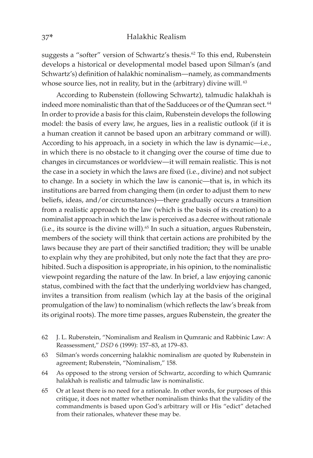suggests a "softer" version of Schwartz's thesis.<sup>62</sup> To this end, Rubenstein develops a historical or developmental model based upon Silman's (and Schwartz's) definition of halakhic nominalism—namely, as commandments whose source lies, not in reality, but in the (arbitrary) divine will. <sup>63</sup>

According to Rubenstein (following Schwartz), talmudic halakhah is indeed more nominalistic than that of the Sadducees or of the Qumran sect. <sup>64</sup> In order to provide a basis for this claim, Rubenstein develops the following model: the basis of every law, he argues, lies in a realistic outlook (if it is a human creation it cannot be based upon an arbitrary command or will). According to his approach, in a society in which the law is dynamic—i.e., in which there is no obstacle to it changing over the course of time due to changes in circumstances or worldview—it will remain realistic. This is not the case in a society in which the laws are fixed (i.e., divine) and not subject to change. In a society in which the law is canonic—that is, in which its institutions are barred from changing them (in order to adjust them to new beliefs, ideas, and/or circumstances)—there gradually occurs a transition from a realistic approach to the law (which is the basis of its creation) to a nominalist approach in which the law is perceived as a decree without rationale (i.e., its source is the divine will).<sup>65</sup> In such a situation, argues Rubenstein, members of the society will think that certain actions are prohibited by the laws because they are part of their sanctified tradition; they will be unable to explain why they are prohibited, but only note the fact that they are prohibited. Such a disposition is appropriate, in his opinion, to the nominalistic viewpoint regarding the nature of the law. In brief, a law enjoying canonic status, combined with the fact that the underlying worldview has changed, invites a transition from realism (which lay at the basis of the original promulgation of the law) to nominalism (which reflects the law's break from its original roots). The more time passes, argues Rubenstein, the greater the

- 62 J. L. Rubenstein, "Nominalism and Realism in Qumranic and Rabbinic Law: A Reassessment," *DSD* 6 (1999): 157–83, at 179–83.
- 63 Silman's words concerning halakhic nominalism are quoted by Rubenstein in agreement; Rubenstein, "Nominalism," 158.
- 64 As opposed to the strong version of Schwartz, according to which Qumranic halakhah is realistic and talmudic law is nominalistic.
- 65 Or at least there is no need for a rationale. In other words, for purposes of this critique, it does not matter whether nominalism thinks that the validity of the commandments is based upon God's arbitrary will or His "edict" detached from their rationales, whatever these may be.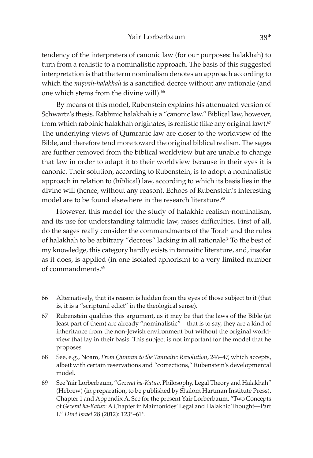tendency of the interpreters of canonic law (for our purposes: halakhah) to turn from a realistic to a nominalistic approach. The basis of this suggested interpretation is that the term nominalism denotes an approach according to which the *misvah-halakhah* is a sanctified decree without any rationale (and one which stems from the divine will).<sup>66</sup>

By means of this model, Rubenstein explains his attenuated version of Schwartz's thesis. Rabbinic halakhah is a "canonic law." Biblical law, however, from which rabbinic halakhah originates, is realistic (like any original law).<sup>67</sup> The underlying views of Qumranic law are closer to the worldview of the Bible, and therefore tend more toward the original biblical realism. The sages are further removed from the biblical worldview but are unable to change that law in order to adapt it to their worldview because in their eyes it is canonic. Their solution, according to Rubenstein, is to adopt a nominalistic approach in relation to (biblical) law, according to which its basis lies in the divine will (hence, without any reason). Echoes of Rubenstein's interesting model are to be found elsewhere in the research literature.<sup>68</sup>

However, this model for the study of halakhic realism-nominalism, and its use for understanding talmudic law, raises difficulties. First of all, do the sages really consider the commandments of the Torah and the rules of halakhah to be arbitrary "decrees" lacking in all rationale? To the best of my knowledge, this category hardly exists in tannaitic literature, and, insofar as it does, is applied (in one isolated aphorism) to a very limited number of commandments.69

- 66 Alternatively, that its reason is hidden from the eyes of those subject to it (that is, it is a "scriptural edict" in the theological sense).
- 67 Rubenstein qualifies this argument, as it may be that the laws of the Bible (at least part of them) are already "nominalistic"—that is to say, they are a kind of inheritance from the non-Jewish environment but without the original worldview that lay in their basis. This subject is not important for the model that he proposes.
- 68 See, e.g., Noam, *From Qumran to the Tannaitic Revolution*, 246–47, which accepts, albeit with certain reservations and "corrections," Rubenstein's developmental model.
- 69 See Yair Lorberbaum, "*Gezerat ha-Katuv*, Philosophy, Legal Theory and Halakhah" (Hebrew) (in preparation, to be published by Shalom Hartman Institute Press), Chapter 1 and Appendix A. See for the present Yair Lorberbaum, "Two Concepts of *Gezerat ha-Katuv*: A Chapter in Maimonides' Legal and Halakhic Thought—Part I," *Diné Israel* 28 (2012): 123\*–61\*.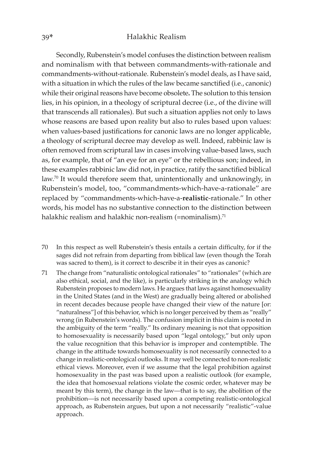Secondly, Rubenstein's model confuses the distinction between realism and nominalism with that between commandments-with-rationale and commandments-without-rationale. Rubenstein's model deals, as I have said, with a situation in which the rules of the law became sanctified (i.e., canonic) while their original reasons have become obsolete**.** The solution to this tension lies, in his opinion, in a theology of scriptural decree (i.e., of the divine will that transcends all rationales). But such a situation applies not only to laws whose reasons are based upon reality but also to rules based upon values: when values-based justifications for canonic laws are no longer applicable, a theology of scriptural decree may develop as well. Indeed, rabbinic law is often removed from scriptural law in cases involving value-based laws, such as, for example, that of "an eye for an eye" or the rebellious son; indeed, in these examples rabbinic law did not, in practice, ratify the sanctified biblical law.<sup>70</sup> It would therefore seem that, unintentionally and unknowingly, in Rubenstein's model, too, "commandments-which-have-a-rationale" are replaced by "commandments-which-have-a-**realistic**-rationale." In other words, his model has no substantive connection to the distinction between halakhic realism and halakhic non-realism (=nominalism).<sup>71</sup>

- 70 In this respect as well Rubenstein's thesis entails a certain difficulty, for if the sages did not refrain from departing from biblical law (even though the Torah was sacred to them), is it correct to describe it in their eyes as canonic?
- 71 The change from "naturalistic ontological rationales" to "rationales" (which are also ethical, social, and the like), is particularly striking in the analogy which Rubenstein proposes to modern laws. He argues that laws against homosexuality in the United States (and in the West) are gradually being altered or abolished in recent decades because people have changed their view of the nature [or: "naturalness"] of this behavior, which is no longer perceived by them as "really" wrong (in Rubenstein's words). The confusion implicit in this claim is rooted in the ambiguity of the term "really." Its ordinary meaning is not that opposition to homosexuality is necessarily based upon "legal ontology," but only upon the value recognition that this behavior is improper and contemptible. The change in the attitude towards homosexuality is not necessarily connected to a change in realistic-ontological outlooks. It may well be connected to non-realistic ethical views. Moreover, even if we assume that the legal prohibition against homosexuality in the past was based upon a realistic outlook (for example, the idea that homosexual relations violate the cosmic order, whatever may be meant by this term), the change in the law—that is to say, the abolition of the prohibition—is not necessarily based upon a competing realistic-ontological approach, as Rubenstein argues, but upon a not necessarily "realistic"-value approach.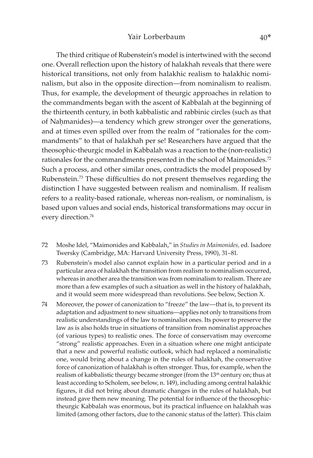## Yair Lorberbaum 40\*

The third critique of Rubenstein's model is intertwined with the second one. Overall reflection upon the history of halakhah reveals that there were historical transitions, not only from halakhic realism to halakhic nominalism, but also in the opposite direction—from nominalism to realism. Thus, for example, the development of theurgic approaches in relation to the commandments began with the ascent of Kabbalah at the beginning of the thirteenth century, in both kabbalistic and rabbinic circles (such as that of Nahmanides)—a tendency which grew stronger over the generations, and at times even spilled over from the realm of "rationales for the commandments" to that of halakhah per se! Researchers have argued that the theosophic-theurgic model in Kabbalah was a reaction to the (non-realistic) rationales for the commandments presented in the school of Maimonides.<sup>72</sup> Such a process, and other similar ones, contradicts the model proposed by Rubenstein.73 These difficulties do not present themselves regarding the distinction I have suggested between realism and nominalism. If realism refers to a reality-based rationale, whereas non-realism, or nominalism, is based upon values and social ends, historical transformations may occur in every direction.<sup>74</sup>

- 72 Moshe Idel, "Maimonides and Kabbalah," in *Studies in Maimonides,* ed. Isadore Twersky (Cambridge, MA: Harvard University Press, 1990), 31–81.
- 73 Rubenstein's model also cannot explain how in a particular period and in a particular area of halakhah the transition from realism to nominalism occurred, whereas in another area the transition was from nominalism to realism. There are more than a few examples of such a situation as well in the history of halakhah, and it would seem more widespread than revolutions. See below, Section X.
- 74 Moreover, the power of canonization to "freeze" the law—that is, to prevent its adaptation and adjustment to new situations—applies not only to transitions from realistic understandings of the law to nominalist ones. Its power to preserve the law as is also holds true in situations of transition from nominalist approaches (of various types) to realistic ones. The force of conservatism may overcome "strong" realistic approaches. Even in a situation where one might anticipate that a new and powerful realistic outlook, which had replaced a nominalistic one, would bring about a change in the rules of halakhah, the conservative force of canonization of halakhah is often stronger. Thus, for example, when the realism of kabbalistic theurgy became stronger (from the 13<sup>th</sup> century on; thus at least according to Scholem, see below, n. 149), including among central halakhic figures, it did not bring about dramatic changes in the rules of halakhah, but instead gave them new meaning. The potential for influence of the theosophictheurgic Kabbalah was enormous, but its practical influence on halakhah was limited (among other factors, due to the canonic status of the latter). This claim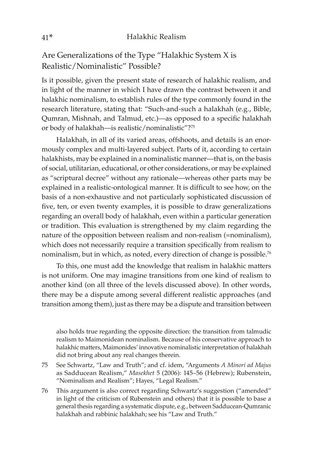Are Generalizations of the Type "Halakhic System X is Realistic/Nominalistic" Possible?

Is it possible, given the present state of research of halakhic realism, and in light of the manner in which I have drawn the contrast between it and halakhic nominalism, to establish rules of the type commonly found in the research literature, stating that: "Such-and-such a halakhah (e.g., Bible, Qumran, Mishnah, and Talmud, etc.)—as opposed to a specific halakhah or body of halakhah—is realistic/nominalistic"?75

Halakhah, in all of its varied areas, offshoots, and details is an enormously complex and multi-layered subject. Parts of it, according to certain halakhists, may be explained in a nominalistic manner—that is, on the basis of social, utilitarian, educational, or other considerations, or may be explained as "scriptural decree" without any rationale—whereas other parts may be explained in a realistic-ontological manner. It is difficult to see how, on the basis of a non-exhaustive and not particularly sophisticated discussion of five, ten, or even twenty examples, it is possible to draw generalizations regarding an overall body of halakhah, even within a particular generation or tradition. This evaluation is strengthened by my claim regarding the nature of the opposition between realism and non-realism (=nominalism), which does not necessarily require a transition specifically from realism to nominalism, but in which, as noted, every direction of change is possible.76

To this, one must add the knowledge that realism in halakhic matters is not uniform. One may imagine transitions from one kind of realism to another kind (on all three of the levels discussed above). In other words, there may be a dispute among several different realistic approaches (and transition among them), just as there may be a dispute and transition between

also holds true regarding the opposite direction: the transition from talmudic realism to Maimonidean nominalism. Because of his conservative approach to halakhic matters, Maimonides' innovative nominalistic interpretation of halakhah did not bring about any real changes therein.

- 75 See Schwartz, "Law and Truth"; and cf. idem, "Arguments *A Minori ad Majus*  as Sadducean Realism," *Masekhet* 5 (2006): 145–56 (Hebrew); Rubenstein, "Nominalism and Realism"; Hayes, "Legal Realism."
- 76 This argument is also correct regarding Schwartz's suggestion ("amended" in light of the criticism of Rubenstein and others) that it is possible to base a general thesis regarding a systematic dispute, e.g., between Sadducean-Qumranic halakhah and rabbinic halakhah; see his "Law and Truth."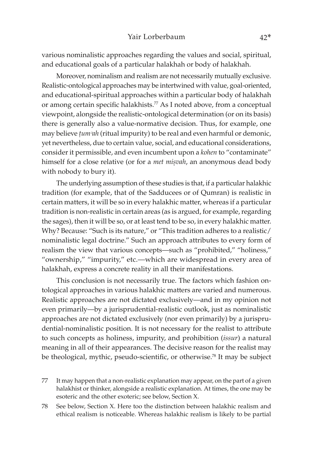various nominalistic approaches regarding the values and social, spiritual, and educational goals of a particular halakhah or body of halakhah.

Moreover, nominalism and realism are not necessarily mutually exclusive. Realistic-ontological approaches may be intertwined with value, goal-oriented, and educational-spiritual approaches within a particular body of halakhah or among certain specific halakhists.<sup>77</sup> As I noted above, from a conceptual viewpoint, alongside the realistic-ontological determination (or on its basis) there is generally also a value-normative decision. Thus, for example, one may believe *tum<sup>3</sup>ah* (ritual impurity) to be real and even harmful or demonic, yet nevertheless, due to certain value, social, and educational considerations, consider it permissible, and even incumbent upon a *kohen* to "contaminate" himself for a close relative (or for a *met misvah*, an anonymous dead body with nobody to bury it).

The underlying assumption of these studies is that, if a particular halakhic tradition (for example, that of the Sadducees or of Qumran) is realistic in certain matters, it will be so in every halakhic matter, whereas if a particular tradition is non-realistic in certain areas (as is argued, for example, regarding the sages), then it will be so, or at least tend to be so, in every halakhic matter. Why? Because: "Such is its nature," or "This tradition adheres to a realistic/ nominalistic legal doctrine." Such an approach attributes to every form of realism the view that various concepts—such as "prohibited," "holiness," "ownership," "impurity," etc.—which are widespread in every area of halakhah, express a concrete reality in all their manifestations.

This conclusion is not necessarily true. The factors which fashion ontological approaches in various halakhic matters are varied and numerous. Realistic approaches are not dictated exclusively—and in my opinion not even primarily—by a jurisprudential-realistic outlook, just as nominalistic approaches are not dictated exclusively (nor even primarily) by a jurisprudential-nominalistic position. It is not necessary for the realist to attribute to such concepts as holiness, impurity, and prohibition (*issur*) a natural meaning in all of their appearances. The decisive reason for the realist may be theological, mythic, pseudo-scientific, or otherwise.<sup>78</sup> It may be subject

77 It may happen that a non-realistic explanation may appear, on the part of a given halakhist or thinker, alongside a realistic explanation. At times, the one may be esoteric and the other exoteric; see below, Section X.

78 See below, Section X. Here too the distinction between halakhic realism and ethical realism is noticeable. Whereas halakhic realism is likely to be partial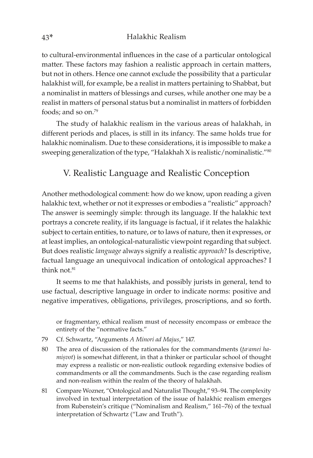to cultural-environmental influences in the case of a particular ontological matter. These factors may fashion a realistic approach in certain matters, but not in others. Hence one cannot exclude the possibility that a particular halakhist will, for example, be a realist in matters pertaining to Shabbat, but a nominalist in matters of blessings and curses, while another one may be a realist in matters of personal status but a nominalist in matters of forbidden foods; and so on.<sup>79</sup>

The study of halakhic realism in the various areas of halakhah, in different periods and places, is still in its infancy. The same holds true for halakhic nominalism. Due to these considerations, it is impossible to make a sweeping generalization of the type, "Halakhah X is realistic/nominalistic."80

## V. Realistic Language and Realistic Conception

Another methodological comment: how do we know, upon reading a given halakhic text, whether or not it expresses or embodies a "realistic" approach? The answer is seemingly simple: through its language. If the halakhic text portrays a concrete reality, if its language is factual, if it relates the halakhic subject to certain entities, to nature, or to laws of nature, then it expresses, or at least implies, an ontological-naturalistic viewpoint regarding that subject. But does realistic *language* always signify a realistic *approach*? Is descriptive, factual language an unequivocal indication of ontological approaches? I think not. $81$ 

It seems to me that halakhists, and possibly jurists in general, tend to use factual, descriptive language in order to indicate norms: positive and negative imperatives, obligations, privileges, proscriptions, and so forth.

or fragmentary, ethical realism must of necessity encompass or embrace the entirety of the "normative facts."

- 79 Cf. Schwartz, "Arguments *A Minori ad Majus*," 147.
- 80 The area of discussion of the rationales for the commandments (*ta<sup>c</sup>amei hamisvot*) is somewhat different, in that a thinker or particular school of thought may express a realistic or non-realistic outlook regarding extensive bodies of commandments or all the commandments. Such is the case regarding realism and non-realism within the realm of the theory of halakhah.
- 81 Compare Wozner, "Ontological and Naturalist Thought," 93–94. The complexity involved in textual interpretation of the issue of halakhic realism emerges from Rubenstein's critique ("Nominalism and Realism," 161–76) of the textual interpretation of Schwartz ("Law and Truth").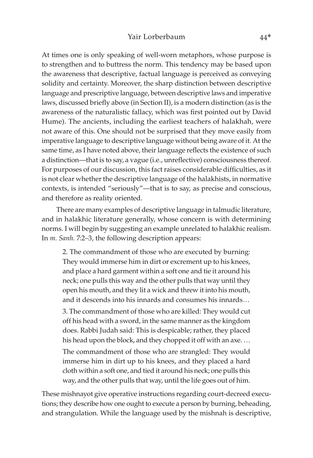At times one is only speaking of well-worn metaphors, whose purpose is to strengthen and to buttress the norm. This tendency may be based upon the awareness that descriptive, factual language is perceived as conveying solidity and certainty. Moreover, the sharp distinction between descriptive language and prescriptive language, between descriptive laws and imperative laws, discussed briefly above (in Section II), is a modern distinction (as is the awareness of the naturalistic fallacy, which was first pointed out by David Hume). The ancients, including the earliest teachers of halakhah, were not aware of this. One should not be surprised that they move easily from imperative language to descriptive language without being aware of it. At the same time, as I have noted above, their language reflects the existence of such a distinction—that is to say, a vague (i.e., unreflective) consciousness thereof. For purposes of our discussion, this fact raises considerable difficulties, as it is not clear whether the descriptive language of the halakhists, in normative contexts, is intended "seriously"—that is to say, as precise and conscious, and therefore as reality oriented.

There are many examples of descriptive language in talmudic literature, and in halakhic literature generally, whose concern is with determining norms. I will begin by suggesting an example unrelated to halakhic realism. In *m. Sanh.* 7:2–3, the following description appears:

2. The commandment of those who are executed by burning: They would immerse him in dirt or excrement up to his knees, and place a hard garment within a soft one and tie it around his neck; one pulls this way and the other pulls that way until they open his mouth, and they lit a wick and threw it into his mouth, and it descends into his innards and consumes his innards…

3. The commandment of those who are killed: They would cut off his head with a sword, in the same manner as the kingdom does. Rabbi Judah said: This is despicable; rather, they placed his head upon the block, and they chopped it off with an axe. …

The commandment of those who are strangled: They would immerse him in dirt up to his knees, and they placed a hard cloth within a soft one, and tied it around his neck; one pulls this way, and the other pulls that way, until the life goes out of him.

These mishnayot give operative instructions regarding court-decreed executions; they describe how one ought to execute a person by burning, beheading, and strangulation. While the language used by the mishnah is descriptive,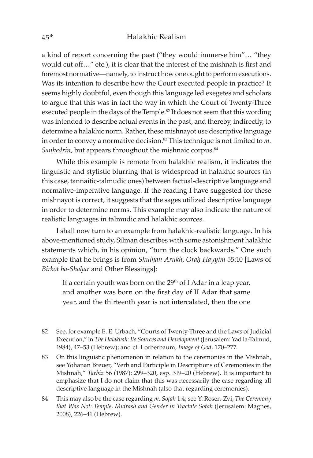a kind of report concerning the past ("they would immerse him"… "they would cut off…" etc.), it is clear that the interest of the mishnah is first and foremost normative—namely, to instruct how one ought to perform executions. Was its intention to describe how the Court executed people in practice? It seems highly doubtful, even though this language led exegetes and scholars to argue that this was in fact the way in which the Court of Twenty-Three executed people in the days of the Temple.<sup>82</sup> It does not seem that this wording was intended to describe actual events in the past, and thereby, indirectly, to determine a halakhic norm. Rather, these mishnayot use descriptive language in order to convey a normative decision.<sup>83</sup> This technique is not limited to m. Sanhedrin, but appears throughout the mishnaic corpus.<sup>84</sup>

While this example is remote from halakhic realism, it indicates the linguistic and stylistic blurring that is widespread in halakhic sources (in this case, tannaitic-talmudic ones) between factual-descriptive language and normative-imperative language. If the reading I have suggested for these mishnayot is correct, it suggests that the sages utilized descriptive language in order to determine norms. This example may also indicate the nature of realistic languages in talmudic and halakhic sources.

I shall now turn to an example from halakhic-realistic language. In his above-mentioned study, Silman describes with some astonishment halakhic statements which, in his opinion, "turn the clock backwards." One such example that he brings is from *Shulhan Arukh*, *Orah Hayyim* 55:10 [Laws of **Birkot ha-Shahar and Other Blessings]:** 

If a certain youth was born on the  $29<sup>th</sup>$  of I Adar in a leap year, and another was born on the first day of II Adar that same year, and the thirteenth year is not intercalated, then the one

- 82 See, for example E. E. Urbach, "Courts of Twenty-Three and the Laws of Judicial Execution," in *The Halakhah: Its Sources and Development* (Jerusalem: Yad la-Talmud, 1984), 47–53 (Hebrew); and cf. Lorberbaum, *Image of God,* 170–277.
- 83 On this linguistic phenomenon in relation to the ceremonies in the Mishnah, see Yohanan Breuer, "Verb and Participle in Descriptions of Ceremonies in the Mishnah," *Tarbiz* 56 (1987): 299–320, esp. 319–20 (Hebrew). It is important to emphasize that I do not claim that this was necessarily the case regarding all descriptive language in the Mishnah (also that regarding ceremonies).
- 84 This may also be the case regarding *m. Soûah* 1:4; see Y. Rosen-Zvi, *The Ceremony that Was Not: Temple, Midrash and Gender in Tractate Sotah* (Jerusalem: Magnes, 2008), 226–41 (Hebrew).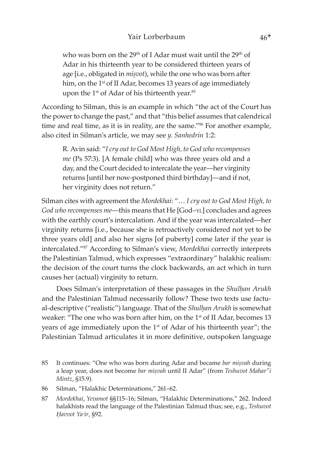who was born on the 29<sup>th</sup> of I Adar must wait until the 29<sup>th</sup> of Adar in his thirteenth year to be considered thirteen years of age [i.e., obligated in *misvot*), while the one who was born after him, on the 1<sup>st</sup> of II Adar, becomes 13 years of age immediately upon the 1<sup>st</sup> of Adar of his thirteenth year.<sup>85</sup>

According to Silman, this is an example in which "the act of the Court has the power to change the past," and that "this belief assumes that calendrical time and real time, as it is in reality, are the same."<sup>86</sup> For another example, also cited in Silman's article, we may see *y. Sanhedrin* 1:2:

R. Avin said: "*I cry out to God Most High, to God who recompenses me* (Ps 57:3). [A female child] who was three years old and a day, and the Court decided to intercalate the year—her virginity returns [until her now-postponed third birthday]—and if not, her virginity does not return."

Silman cites with agreement the *Mordekhai*: "… *I cry out to God Most High, to God who recompenses me*—this means that He [God–yl] concludes and agrees with the earthly court's intercalation. And if the year was intercalated—her virginity returns [i.e., because she is retroactively considered not yet to be three years old] and also her signs [of puberty] come later if the year is intercalated."87 According to Silman's view, *Mordekhai* correctly interprets the Palestinian Talmud, which expresses "extraordinary" halakhic realism: the decision of the court turns the clock backwards, an act which in turn causes her (actual) virginity to return.

Does Silman's interpretation of these passages in the *Shulhan Arukh* and the Palestinian Talmud necessarily follow? These two texts use factual-descriptive ("realistic") language. That of the *Shulhan Arukh* is somewhat weaker: "The one who was born after him, on the 1<sup>st</sup> of II Adar, becomes 13 years of age immediately upon the 1<sup>st</sup> of Adar of his thirteenth year"; the Palestinian Talmud articulates it in more definitive, outspoken language

- 85 It continues: "One who was born during Adar and became *bar miúvah* during a leap year, does not become *bar misvah* until II Adar" (from *Teshuvot Mahar"i Mintz*, §15.9).
- 86 Silman, "Halakhic Determinations," 261–62.
- 87 *Mordekhai*, *Yevamot* §§115–16; Silman, "Halakhic Determinations," 262. Indeed halakhists read the language of the Palestinian Talmud thus; see, e.g., *Teshuvot Êavvot Yaᵓir*, §92.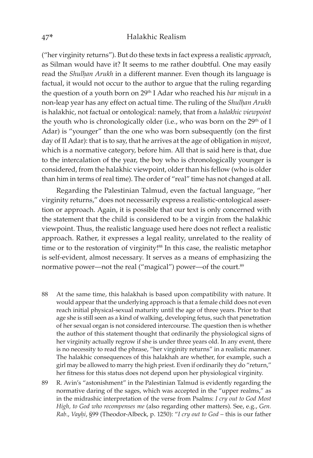("her virginity returns"). But do these texts in fact express a realistic *approach*, as Silman would have it? It seems to me rather doubtful. One may easily read the *Shulhan Arukh* in a different manner. Even though its language is factual, it would not occur to the author to argue that the ruling regarding the question of a youth born on 29<sup>th</sup> I Adar who reached his *bar misvah* in a non-leap year has any effect on actual time. The ruling of the *Shulhan Arukh* is halakhic, not factual or ontological: namely, that from a *halakhic viewpoint* the youth who is chronologically older (i.e., who was born on the 29<sup>th</sup> of I Adar) is "younger" than the one who was born subsequently (on the first day of II Adar): that is to say, that he arrives at the age of obligation in *misvot*, which is a normative category, before him. All that is said here is that, due to the intercalation of the year, the boy who is chronologically younger is considered, from the halakhic viewpoint, older than his fellow (who is older than him in terms of real time). The order of "real" time has not changed at all.

Regarding the Palestinian Talmud, even the factual language, "her virginity returns," does not necessarily express a realistic-ontological assertion or approach. Again, it is possible that our text is only concerned with the statement that the child is considered to be a virgin from the halakhic viewpoint. Thus, the realistic language used here does not reflect a realistic approach. Rather, it expresses a legal reality, unrelated to the reality of time or to the restoration of virginity!<sup>88</sup> In this case, the realistic metaphor is self-evident, almost necessary. It serves as a means of emphasizing the normative power—not the real ("magical") power—of the court.<sup>89</sup>

- 88 At the same time, this halakhah is based upon compatibility with nature. It would appear that the underlying approach is that a female child does not even reach initial physical-sexual maturity until the age of three years. Prior to that age she is still seen as a kind of walking, developing fetus, such that penetration of her sexual organ is not considered intercourse. The question then is whether the author of this statement thought that ordinarily the physiological signs of her virginity actually regrow if she is under three years old. In any event, there is no necessity to read the phrase, "her virginity returns" in a realistic manner. The halakhic consequences of this halakhah are whether, for example, such a girl may be allowed to marry the high priest. Even if ordinarily they do "return," her fitness for this status does not depend upon her physiological virginity.
- 89 R. Avin's "astonishment" in the Palestinian Talmud is evidently regarding the normative daring of the sages, which was accepted in the "upper realms," as in the midrashic interpretation of the verse from Psalms: *I cry out to God Most High, to God who recompenses me* (also regarding other matters). See, e.g., *Gen. Rab*., *Vayêi*, §99 (Theodor-Albeck, p. 1250): "*I cry out to God* – this is our father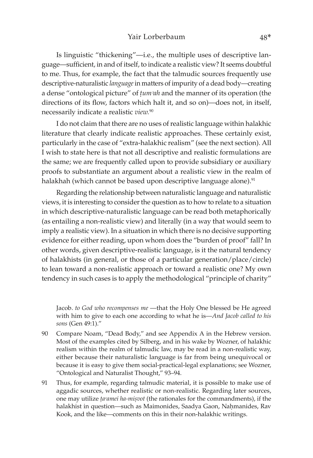Is linguistic "thickening"—i.e., the multiple uses of descriptive language—sufficient, in and of itself, to indicate a realistic view? It seems doubtful to me. Thus, for example, the fact that the talmudic sources frequently use descriptive-naturalistic *language* in matters of impurity of a dead body—creating a dense "ontological picture" of *tum*<sup>*n*</sup>ah and the manner of its operation (the directions of its flow, factors which halt it, and so on)—does not, in itself, necessarily indicate a realistic *view.*<sup>90</sup>

I do not claim that there are no uses of realistic language within halakhic literature that clearly indicate realistic approaches. These certainly exist, particularly in the case of "extra-halakhic realism" (see the next section). All I wish to state here is that not all descriptive and realistic formulations are the same; we are frequently called upon to provide subsidiary or auxiliary proofs to substantiate an argument about a realistic view in the realm of halakhah (which cannot be based upon descriptive language alone).<sup>91</sup>

Regarding the relationship between naturalistic language and naturalistic views, it is interesting to consider the question as to how to relate to a situation in which descriptive-naturalistic language can be read both metaphorically (as entailing a non-realistic view) and literally (in a way that would seem to imply a realistic view). In a situation in which there is no decisive supporting evidence for either reading, upon whom does the "burden of proof" fall? In other words, given descriptive-realistic language, is it the natural tendency of halakhists (in general, or those of a particular generation/place/circle) to lean toward a non-realistic approach or toward a realistic one? My own tendency in such cases is to apply the methodological "principle of charity"

Jacob. *to God who recompenses me* —that the Holy One blessed be He agreed with him to give to each one according to what he is—*And Jacob called to his sons* (Gen 49:1)."

- 90 Compare Noam, "Dead Body," and see Appendix A in the Hebrew version. Most of the examples cited by Silberg, and in his wake by Wozner, of halakhic realism within the realm of talmudic law, may be read in a non-realistic way, either because their naturalistic language is far from being unequivocal or because it is easy to give them social-practical-legal explanations; see Wozner, "Ontological and Naturalist Thought," 93–94.
- 91 Thus, for example, regarding talmudic material, it is possible to make use of aggadic sources, whether realistic or non-realistic. Regarding later sources, one may utilize *ta<sup>c</sup>amei ha-mișvot* (the rationales for the commandments), if the halakhist in question—such as Maimonides, Saadya Gaon, Nahmanides, Rav Kook, and the like—comments on this in their non-halakhic writings.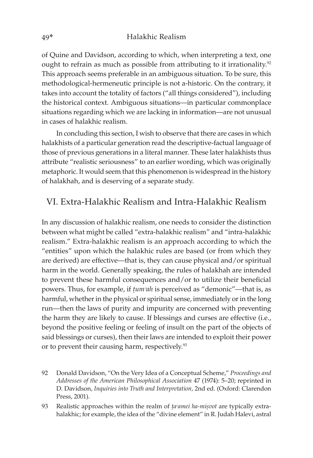of Quine and Davidson, according to which, when interpreting a text, one ought to refrain as much as possible from attributing to it irrationality.<sup>92</sup> This approach seems preferable in an ambiguous situation. To be sure, this methodological-hermeneutic principle is not a-historic. On the contrary, it takes into account the totality of factors ("all things considered"), including the historical context. Ambiguous situations—in particular commonplace situations regarding which we are lacking in information—are not unusual in cases of halakhic realism.

In concluding this section, I wish to observe that there are cases in which halakhists of a particular generation read the descriptive-factual language of those of previous generations in a literal manner. These later halakhists thus attribute "realistic seriousness" to an earlier wording, which was originally metaphoric. It would seem that this phenomenon is widespread in the history of halakhah, and is deserving of a separate study.

## VI. Extra-Halakhic Realism and Intra-Halakhic Realism

In any discussion of halakhic realism, one needs to consider the distinction between what might be called "extra-halakhic realism" and "intra-halakhic realism." Extra-halakhic realism is an approach according to which the "entities" upon which the halakhic rules are based (or from which they are derived) are effective—that is, they can cause physical and/or spiritual harm in the world. Generally speaking, the rules of halakhah are intended to prevent these harmful consequences and/or to utilize their beneficial powers. Thus, for example, if *tum*<sup>*n*</sup>*ah* is perceived as "demonic"—that is, as harmful, whether in the physical or spiritual sense, immediately or in the long run—then the laws of purity and impurity are concerned with preventing the harm they are likely to cause. If blessings and curses are effective (i.e., beyond the positive feeling or feeling of insult on the part of the objects of said blessings or curses), then their laws are intended to exploit their power or to prevent their causing harm, respectively.<sup>93</sup>

- 92 Donald Davidson, "On the Very Idea of a Conceptual Scheme," *Proceedings and Addresses of the American Philosophical Association* 47 (1974): 5–20; reprinted in D. Davidson, *Inquiries into Truth and Interpretation,* 2nd ed. (Oxford: Clarendon Press, 2001).
- 93 Realistic approaches within the realm of *ta<sup>c</sup>amei ha-misvot* are typically extrahalakhic; for example, the idea of the "divine element" in R. Judah Halevi, astral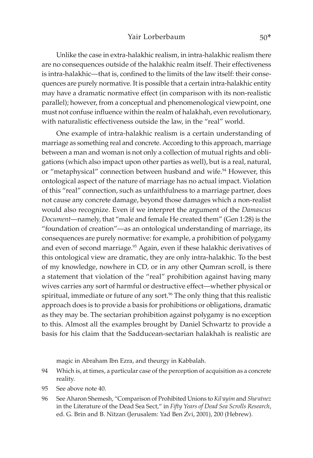Unlike the case in extra-halakhic realism, in intra-halakhic realism there are no consequences outside of the halakhic realm itself. Their effectiveness is intra-halakhic—that is, confined to the limits of the law itself: their consequences are purely normative. It is possible that a certain intra-halakhic entity may have a dramatic normative effect (in comparison with its non-realistic parallel); however, from a conceptual and phenomenological viewpoint, one must not confuse influence within the realm of halakhah, even revolutionary, with naturalistic effectiveness outside the law, in the "real" world.

One example of intra-halakhic realism is a certain understanding of marriage as something real and concrete. According to this approach, marriage between a man and woman is not only a collection of mutual rights and obligations (which also impact upon other parties as well), but is a real, natural, or "metaphysical" connection between husband and wife.<sup>94</sup> However, this ontological aspect of the nature of marriage has no actual impact. Violation of this "real" connection, such as unfaithfulness to a marriage partner, does not cause any concrete damage, beyond those damages which a non-realist would also recognize. Even if we interpret the argument of the *Damascus Document*—namely, that "male and female He created them" (Gen 1:28) is the "foundation of creation"—as an ontological understanding of marriage, its consequences are purely normative: for example, a prohibition of polygamy and even of second marriage.<sup>95</sup> Again, even if these halakhic derivatives of this ontological view are dramatic, they are only intra-halakhic. To the best of my knowledge, nowhere in CD*,* or in any other Qumran scroll, is there a statement that violation of the "real" prohibition against having many wives carries any sort of harmful or destructive effect—whether physical or spiritual, immediate or future of any sort.<sup>96</sup> The only thing that this realistic approach does is to provide a basis for prohibitions or obligations, dramatic as they may be. The sectarian prohibition against polygamy is no exception to this. Almost all the examples brought by Daniel Schwartz to provide a basis for his claim that the Sadducean-sectarian halakhah is realistic are

magic in Abraham Ibn Ezra, and theurgy in Kabbalah.

- 94 Which is, at times, a particular case of the perception of acquisition as a concrete reality.
- 95 See above note 40.
- 96 See Aharon Shemesh, "Comparison of Prohibited Unions to *Kil<sup>2</sup>ayim* and *Sha<sup><i>catnez*</sup> in the Literature of the Dead Sea Sect," in *Fifty Years of Dead Sea Scrolls Research*, ed. G. Brin and B. Nitzan (Jerusalem: Yad Ben Zvi, 2001), 200 (Hebrew).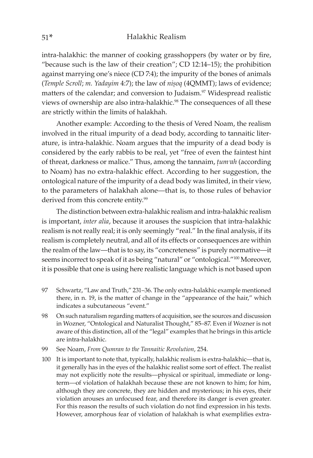intra-halakhic: the manner of cooking grasshoppers (by water or by fire, "because such is the law of their creation"; CD 12:14–15); the prohibition against marrying one's niece (CD 7:4); the impurity of the bones of animals (*Temple Scroll*; *m. Yadayim* 4:7); the law of *nisoq* (4QMMT); laws of evidence; matters of the calendar; and conversion to Judaism.<sup>97</sup> Widespread realistic views of ownership are also intra-halakhic.<sup>98</sup> The consequences of all these are strictly within the limits of halakhah.

Another example: According to the thesis of Vered Noam, the realism involved in the ritual impurity of a dead body, according to tannaitic literature, is intra-halakhic. Noam argues that the impurity of a dead body is considered by the early rabbis to be real, yet "free of even the faintest hint of threat, darkness or malice." Thus, among the tannaim, *ûumᵓah* (according to Noam) has no extra-halakhic effect. According to her suggestion, the ontological nature of the impurity of a dead body was limited, in their view, to the parameters of halakhah alone—that is, to those rules of behavior derived from this concrete entity.<sup>99</sup>

The distinction between extra-halakhic realism and intra-halakhic realism is important, *inter alia*, because it arouses the suspicion that intra-halakhic realism is not really real; it is only seemingly "real." In the final analysis, if its realism is completely neutral, and all of its effects or consequences are within the realm of the law—that is to say, its "concreteness" is purely normative—it seems incorrect to speak of it as being "natural" or "ontological."<sup>100</sup> Moreover, it is possible that one is using here realistic language which is not based upon

- 97 Schwartz, "Law and Truth," 231–36. The only extra-halakhic example mentioned there, in n. 19, is the matter of change in the "appearance of the hair," which indicates a subcutaneous "event."
- 98 On such naturalism regarding matters of acquisition, see the sources and discussion in Wozner, "Ontological and Naturalist Thought," 85–87. Even if Wozner is not aware of this distinction, all of the "legal" examples that he brings in this article are intra-halakhic.
- 99 See Noam, *From Qumran to the Tannaitic Revolution*, 254.
- 100 It is important to note that, typically, halakhic realism is extra-halakhic—that is, it generally has in the eyes of the halakhic realist some sort of effect. The realist may not explicitly note the results—physical or spiritual, immediate or longterm—of violation of halakhah because these are not known to him; for him, although they are concrete, they are hidden and mysterious; in his eyes, their violation arouses an unfocused fear, and therefore its danger is even greater. For this reason the results of such violation do not find expression in his texts. However, amorphous fear of violation of halakhah is what exemplifies extra-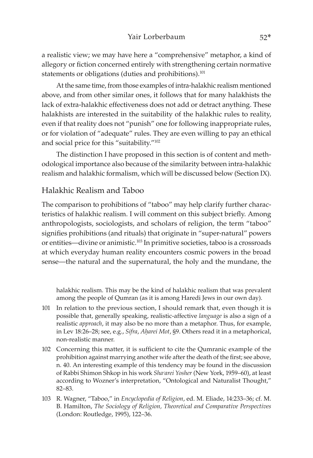a realistic view; we may have here a "comprehensive" metaphor, a kind of allegory or fiction concerned entirely with strengthening certain normative statements or obligations (duties and prohibitions).<sup>101</sup>

At the same time, from those examples of intra-halakhic realism mentioned above, and from other similar ones, it follows that for many halakhists the lack of extra-halakhic effectiveness does not add or detract anything. These halakhists are interested in the suitability of the halakhic rules to reality, even if that reality does not "punish" one for following inappropriate rules, or for violation of "adequate" rules. They are even willing to pay an ethical and social price for this "suitability."102

The distinction I have proposed in this section is of content and methodological importance also because of the similarity between intra-halakhic realism and halakhic formalism, which will be discussed below (Section IX).

## Halakhic Realism and Taboo

The comparison to prohibitions of "taboo" may help clarify further characteristics of halakhic realism. I will comment on this subject briefly. Among anthropologists, sociologists, and scholars of religion, the term "taboo" signifies prohibitions (and rituals) that originate in "super-natural" powers or entities—divine or animistic.103 In primitive societies, taboo is a crossroads at which everyday human reality encounters cosmic powers in the broad sense—the natural and the supernatural, the holy and the mundane, the

halakhic realism. This may be the kind of halakhic realism that was prevalent among the people of Qumran (as it is among Haredi Jews in our own day).

- 101 In relation to the previous section, I should remark that, even though it is possible that, generally speaking, realistic-affective *language* is also a sign of a realistic *approach*, it may also be no more than a metaphor. Thus, for example, in Lev 18:26-28; see, e.g., *Sifra*, *Aharei Mot*, §9. Others read it in a metaphorical, non-realistic manner.
- 102 Concerning this matter, it is sufficient to cite the Qumranic example of the prohibition against marrying another wife after the death of the first; see above, n. 40. An interesting example of this tendency may be found in the discussion of Rabbi Shimon Shkop in his work *Shaᶜarei Yosher* (New York, 1959–60), at least according to Wozner's interpretation, "Ontological and Naturalist Thought," 82–83.
- 103 R. Wagner, "Taboo," in *Encyclopedia of Religion*, ed. M. Eliade, 14:233–36; cf. M. B. Hamilton, *The Sociology of Religion, Theoretical and Comparative Perspectives* (London: Routledge, 1995), 122–36.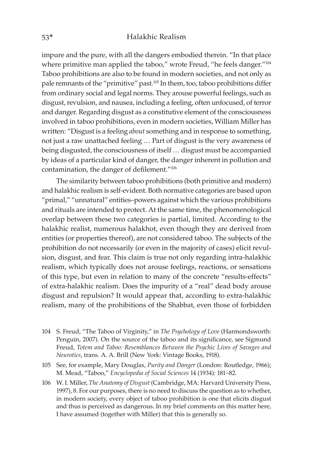impure and the pure, with all the dangers embodied therein. "In that place where primitive man applied the taboo," wrote Freud, "he feels danger."<sup>104</sup> Taboo prohibitions are also to be found in modern societies, and not only as pale remnants of the "primitive" past.<sup>105</sup> In them, too, taboo prohibitions differ from ordinary social and legal norms. They arouse powerful feelings, such as disgust, revulsion, and nausea, including a feeling, often unfocused, of terror and danger. Regarding disgust as a constitutive element of the consciousness involved in taboo prohibitions, even in modern societies, William Miller has written: "Disgust is a feeling *about* something and in response to something, not just a raw unattached feeling … Part of disgust is the very awareness of being disgusted, the consciousness of itself … disgust must be accompanied by ideas of a particular kind of danger, the danger inherent in pollution and contamination, the danger of defilement."106

The similarity between taboo prohibitions (both primitive and modern) and halakhic realism is self-evident. Both normative categories are based upon "primal," "unnatural" entities–powers against which the various prohibitions and rituals are intended to protect. At the same time, the phenomenological overlap between these two categories is partial, limited. According to the halakhic realist, numerous halakhot, even though they are derived from entities (or properties thereof), are not considered taboo. The subjects of the prohibition do not necessarily (or even in the majority of cases) elicit revulsion, disgust, and fear. This claim is true not only regarding intra-halakhic realism, which typically does not arouse feelings, reactions, or sensations of this type, but even in relation to many of the concrete "results-effects" of extra-halakhic realism. Does the impurity of a "real" dead body arouse disgust and repulsion? It would appear that, according to extra-halakhic realism, many of the prohibitions of the Shabbat, even those of forbidden

- 104 S. Freud, "The Taboo of Virginity," in *The Psychology of Love* (Harmondsworth: Penguin, 2007). On the source of the taboo and its significance, see Sigmund Freud, *Totem and Taboo: Resemblances Between the Psychic Lives of Savages and Neurotics*, trans. A. A. Brill (New York: Vintage Books, 1918).
- 105 See, for example, Mary Douglas, *Purity and Danger* (London: Routledge, 1966); M. Mead, "Taboo," *Encyclopedia of Social Sciences* 14 (1934): 181–82.
- 106 W. I. Miller, *The Anatomy of Disgust* (Cambridge, MA: Harvard University Press, 1997), 8. For our purposes, there is no need to discuss the question as to whether, in modern society, every object of taboo prohibition is one that elicits disgust and thus is perceived as dangerous. In my brief comments on this matter here, I have assumed (together with Miller) that this is generally so.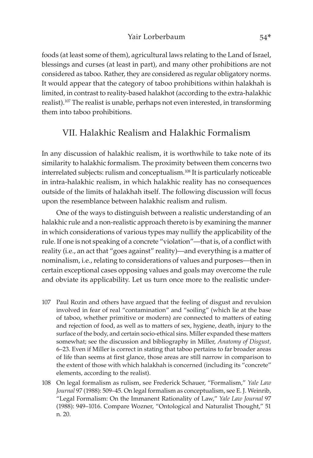foods (at least some of them), agricultural laws relating to the Land of Israel, blessings and curses (at least in part), and many other prohibitions are not considered as taboo. Rather, they are considered as regular obligatory norms. It would appear that the category of taboo prohibitions within halakhah is limited, in contrast to reality-based halakhot (according to the extra-halakhic realist).107 The realist is unable, perhaps not even interested, in transforming them into taboo prohibitions.

## VII. Halakhic Realism and Halakhic Formalism

In any discussion of halakhic realism, it is worthwhile to take note of its similarity to halakhic formalism. The proximity between them concerns two interrelated subjects: rulism and conceptualism.108 It is particularly noticeable in intra-halakhic realism, in which halakhic reality has no consequences outside of the limits of halakhah itself. The following discussion will focus upon the resemblance between halakhic realism and rulism.

One of the ways to distinguish between a realistic understanding of an halakhic rule and a non-realistic approach thereto is by examining the manner in which considerations of various types may nullify the applicability of the rule. If one is not speaking of a concrete "violation"—that is, of a conflict with reality (i.e., an act that "goes against" reality)—and everything is a matter of nominalism, i.e., relating to considerations of values and purposes—then in certain exceptional cases opposing values and goals may overcome the rule and obviate its applicability. Let us turn once more to the realistic under-

- 107 Paul Rozin and others have argued that the feeling of disgust and revulsion involved in fear of real "contamination" and "soiling" (which lie at the base of taboo, whether primitive or modern) are connected to matters of eating and rejection of food, as well as to matters of sex, hygiene, death, injury to the surface of the body, and certain socio-ethical sins. Miller expanded these matters somewhat; see the discussion and bibliography in Miller, *Anatomy of Disgust,* 6–23. Even if Miller is correct in stating that taboo pertains to far broader areas of life than seems at first glance, those areas are still narrow in comparison to the extent of those with which halakhah is concerned (including its "concrete" elements, according to the realist).
- 108 On legal formalism as rulism, see Frederick Schauer, "Formalism," *Yale Law Journal* 97 (1988): 509–45. On legal formalism as conceptualism, see E. J. Weinrib, "Legal Formalism: On the Immanent Rationality of Law," *Yale Law Journal* 97 (1988): 949–1016. Compare Wozner, "Ontological and Naturalist Thought," 51 n. 20.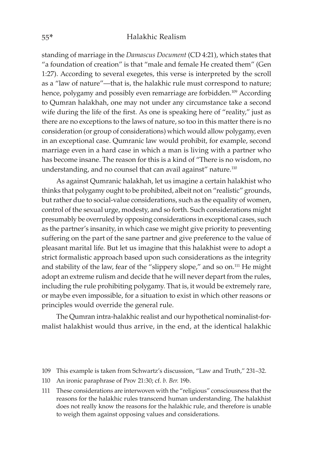standing of marriage in the *Damascus Document* (CD 4:21), which states that "a foundation of creation" is that "male and female He created them" (Gen 1:27). According to several exegetes, this verse is interpreted by the scroll as a "law of nature"—that is, the halakhic rule must correspond to nature; hence, polygamy and possibly even remarriage are forbidden.<sup>109</sup> According to Qumran halakhah, one may not under any circumstance take a second wife during the life of the first. As one is speaking here of "reality," just as there are no exceptions to the laws of nature, so too in this matter there is no consideration (or group of considerations) which would allow polygamy, even in an exceptional case. Qumranic law would prohibit, for example, second marriage even in a hard case in which a man is living with a partner who has become insane. The reason for this is a kind of "There is no wisdom, no understanding, and no counsel that can avail against" nature.<sup>110</sup>

As against Qumranic halakhah, let us imagine a certain halakhist who thinks that polygamy ought to be prohibited, albeit not on "realistic" grounds, but rather due to social-value considerations, such as the equality of women, control of the sexual urge, modesty, and so forth. Such considerations might presumably be overruled by opposing considerations in exceptional cases, such as the partner's insanity, in which case we might give priority to preventing suffering on the part of the sane partner and give preference to the value of pleasant marital life. But let us imagine that this halakhist were to adopt a strict formalistic approach based upon such considerations as the integrity and stability of the law, fear of the "slippery slope," and so on.111 He might adopt an extreme rulism and decide that he will never depart from the rules, including the rule prohibiting polygamy. That is, it would be extremely rare, or maybe even impossible, for a situation to exist in which other reasons or principles would override the general rule.

The Qumran intra-halakhic realist and our hypothetical nominalist-formalist halakhist would thus arrive, in the end, at the identical halakhic

- 110 An ironic paraphrase of Prov 21:30; cf. *b. Ber.* 19b.
- 111 These considerations are interwoven with the "religious" consciousness that the reasons for the halakhic rules transcend human understanding. The halakhist does not really know the reasons for the halakhic rule, and therefore is unable to weigh them against opposing values and considerations.

<sup>109</sup> This example is taken from Schwartz's discussion, "Law and Truth," 231–32.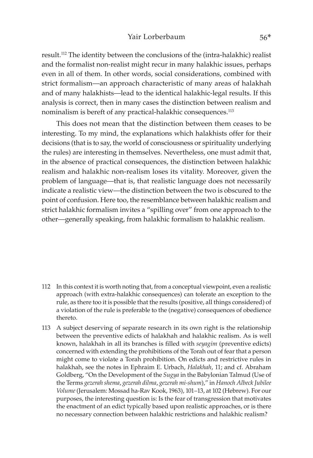## Yair Lorberbaum 56\*

result.112 The identity between the conclusions of the (intra-halakhic) realist and the formalist non-realist might recur in many halakhic issues, perhaps even in all of them. In other words, social considerations, combined with strict formalism—an approach characteristic of many areas of halakhah and of many halakhists—lead to the identical halakhic-legal results. If this analysis is correct, then in many cases the distinction between realism and nominalism is bereft of any practical-halakhic consequences.<sup>113</sup>

This does not mean that the distinction between them ceases to be interesting. To my mind, the explanations which halakhists offer for their decisions (that is to say, the world of consciousness or spirituality underlying the rules) are interesting in themselves. Nevertheless, one must admit that, in the absence of practical consequences, the distinction between halakhic realism and halakhic non-realism loses its vitality. Moreover, given the problem of language—that is, that realistic language does not necessarily indicate a realistic view—the distinction between the two is obscured to the point of confusion. Here too, the resemblance between halakhic realism and strict halakhic formalism invites a "spilling over" from one approach to the other—generally speaking, from halakhic formalism to halakhic realism.

- 112 In this context it is worth noting that, from a conceptual viewpoint, even a realistic approach (with extra-halakhic consequences) can tolerate an exception to the rule, as there too it is possible that the results (positive, all things considered) of a violation of the rule is preferable to the (negative) consequences of obedience thereto.
- 113 A subject deserving of separate research in its own right is the relationship between the preventive edicts of halakhah and halakhic realism. As is well known, halakhah in all its branches is filled with *seyagim* (preventive edicts) concerned with extending the prohibitions of the Torah out of fear that a person might come to violate a Torah prohibition. On edicts and restrictive rules in halakhah, see the notes in Ephraim E. Urbach, *Halakhah*, 11; and cf. Abraham Goldberg, "On the Development of the *Sugya* in the Babylonian Talmud (Use of the Terms *gezerah shema*, *gezerah dilma*, *gezerah mi-shum*)," in *Hanoch Albeck Jubilee Volume* (Jerusalem: Mossad ha-Rav Kook, 1963), 101–13, at 102 (Hebrew). For our purposes, the interesting question is: Is the fear of transgression that motivates the enactment of an edict typically based upon realistic approaches, or is there no necessary connection between halakhic restrictions and halakhic realism?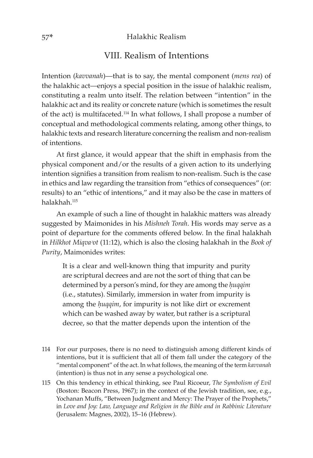## VIII. Realism of Intentions

Intention (*kavvanah*)—that is to say, the mental component (*mens rea*) of the halakhic act—enjoys a special position in the issue of halakhic realism, constituting a realm unto itself. The relation between "intention" in the halakhic act and its reality or concrete nature (which is sometimes the result of the act) is multifaceted.114 In what follows, I shall propose a number of conceptual and methodological comments relating, among other things, to halakhic texts and research literature concerning the realism and non-realism of intentions.

At first glance, it would appear that the shift in emphasis from the physical component and/or the results of a given action to its underlying intention signifies a transition from realism to non-realism. Such is the case in ethics and law regarding the transition from "ethics of consequences" (or: results) to an "ethic of intentions," and it may also be the case in matters of halakhah.<sup>115</sup>

An example of such a line of thought in halakhic matters was already suggested by Maimonides in his *Mishneh Torah*. His words may serve as a point of departure for the comments offered below. In the final halakhah in *Hilkhot Miqvaᵓot* (11:12), which is also the closing halakhah in the *Book of Purity*, Maimonides writes:

It is a clear and well-known thing that impurity and purity are scriptural decrees and are not the sort of thing that can be determined by a person's mind, for they are among the *huqqim* (i.e., statutes). Similarly, immersion in water from impurity is among the *huqqim*, for impurity is not like dirt or excrement which can be washed away by water, but rather is a scriptural decree, so that the matter depends upon the intention of the

- 114 For our purposes, there is no need to distinguish among different kinds of intentions, but it is sufficient that all of them fall under the category of the "mental component" of the act. In what follows, the meaning of the term *kavvanah* (intention) is thus not in any sense a psychological one.
- 115 On this tendency in ethical thinking, see Paul Ricoeur, *The Symbolism of Evil*  (Boston: Beacon Press, 1967); in the context of the Jewish tradition, see, e.g., Yochanan Muffs, "Between Judgment and Mercy: The Prayer of the Prophets," in *Love and Joy: Law, Language and Religion in the Bible and in Rabbinic Literature* (Jerusalem: Magnes, 2002), 15–16 (Hebrew).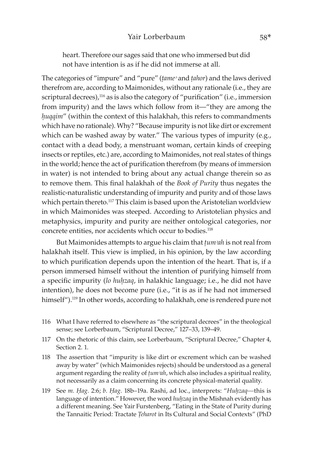## Yair Lorberbaum 58\*

heart. Therefore our sages said that one who immersed but did not have intention is as if he did not immerse at all.

The categories of "impure" and "pure" (*tame*<sup>2</sup> and *tahor*) and the laws derived therefrom are, according to Maimonides, without any rationale (i.e., they are scriptural decrees),<sup>116</sup> as is also the category of "purification" (i.e., immersion from impurity) and the laws which follow from it—"they are among the *huqqim*" (within the context of this halakhah, this refers to commandments which have no rationale). Why? "Because impurity is not like dirt or excrement which can be washed away by water." The various types of impurity (e.g., contact with a dead body, a menstruant woman, certain kinds of creeping insects or reptiles, etc.) are, according to Maimonides, not real states of things in the world; hence the act of purification therefrom (by means of immersion in water) is not intended to bring about any actual change therein so as to remove them. This final halakhah of the *Book of Purity* thus negates the realistic-naturalistic understanding of impurity and purity and of those laws which pertain thereto.<sup>117</sup> This claim is based upon the Aristotelian worldview in which Maimonides was steeped. According to Aristotelian physics and metaphysics, impurity and purity are neither ontological categories, nor concrete entities, nor accidents which occur to bodies.<sup>118</sup>

But Maimonides attempts to argue his claim that *tum<sup>2</sup>ah* is not real from halakhah itself. This view is implied, in his opinion, by the law according to which purification depends upon the intention of the heart. That is, if a person immersed himself without the intention of purifying himself from a specific impurity (lo huhzaq, in halakhic language; i.e., he did not have intention), he does not become pure (i.e., "it is as if he had not immersed himself").<sup>119</sup> In other words, according to halakhah, one is rendered pure not

- 116 What I have referred to elsewhere as "the scriptural decrees" in the theological sense; see Lorberbaum, "Scriptural Decree," 127-33, 139-49.
- 117 On the rhetoric of this claim, see Lorberbaum, "Scriptural Decree," Chapter 4, Section 2. 1.
- 118 The assertion that "impurity is like dirt or excrement which can be washed away by water" (which Maimonides rejects) should be understood as a general argument regarding the reality of *tum<sup>3</sup>ah*, which also includes a spiritual reality, not necessarily as a claim concerning its concrete physical-material quality.
- 119 See *m. Êag.* 2:6; *b. Êag.* 18b–19a. Rashi, ad loc., interprets: "*Huêzaq—*this is language of intention." However, the word *huhzaq* in the Mishnah evidently has a different meaning. See Yair Furstenberg, "Eating in the State of Purity during the Tannaitic Period: Tractate *Teharot* in Its Cultural and Social Contexts" (PhD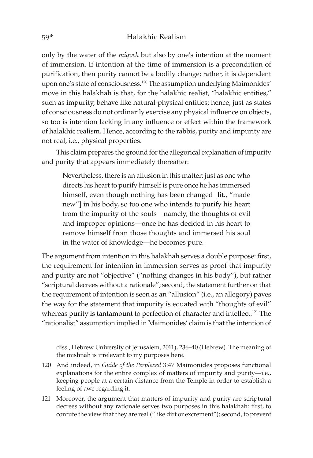only by the water of the *miqveh* but also by one's intention at the moment of immersion. If intention at the time of immersion is a precondition of purification, then purity cannot be a bodily change; rather, it is dependent upon one's state of consciousness.<sup>120</sup> The assumption underlying Maimonides' move in this halakhah is that, for the halakhic realist, "halakhic entities," such as impurity, behave like natural-physical entities; hence, just as states of consciousness do not ordinarily exercise any physical influence on objects, so too is intention lacking in any influence or effect within the framework of halakhic realism. Hence, according to the rabbis, purity and impurity are not real, i.e., physical properties.

This claim prepares the ground for the allegorical explanation of impurity and purity that appears immediately thereafter:

Nevertheless, there is an allusion in this matter: just as one who directs his heart to purify himself is pure once he has immersed himself, even though nothing has been changed [lit., "made new"] in his body, so too one who intends to purify his heart from the impurity of the souls—namely, the thoughts of evil and improper opinions—once he has decided in his heart to remove himself from those thoughts and immersed his soul in the water of knowledge—he becomes pure.

The argument from intention in this halakhah serves a double purpose: first, the requirement for intention in immersion serves as proof that impurity and purity are not "objective" ("nothing changes in his body"), but rather "scriptural decrees without a rationale"; second, the statement further on that the requirement of intention is seen as an "allusion" (i.e., an allegory) paves the way for the statement that impurity is equated with "thoughts of evil" whereas purity is tantamount to perfection of character and intellect.<sup>121</sup> The "rationalist" assumption implied in Maimonides' claim is that the intention of

diss., Hebrew University of Jerusalem, 2011), 236–40 (Hebrew). The meaning of the mishnah is irrelevant to my purposes here.

- 120 And indeed, in *Guide of the Perplexed* 3:47 Maimonides proposes functional explanations for the entire complex of matters of impurity and purity—i.e., keeping people at a certain distance from the Temple in order to establish a feeling of awe regarding it.
- 121 Moreover, the argument that matters of impurity and purity are scriptural decrees without any rationale serves two purposes in this halakhah: first, to confute the view that they are real ("like dirt or excrement"); second, to prevent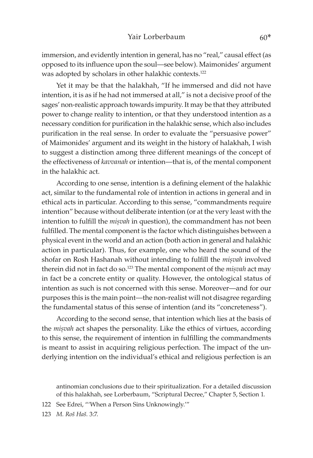immersion, and evidently intention in general, has no "real," causal effect (as opposed to its influence upon the soul—see below). Maimonides' argument was adopted by scholars in other halakhic contexts.<sup>122</sup>

Yet it may be that the halakhah, "If he immersed and did not have intention, it is as if he had not immersed at all," is not a decisive proof of the sages' non-realistic approach towards impurity. It may be that they attributed power to change reality to intention, or that they understood intention as a necessary condition for purification in the halakhic sense, which also includes purification in the real sense. In order to evaluate the "persuasive power" of Maimonides' argument and its weight in the history of halakhah, I wish to suggest a distinction among three different meanings of the concept of the effectiveness of *kavvanah* or intention—that is, of the mental component in the halakhic act.

According to one sense, intention is a defining element of the halakhic act, similar to the fundamental role of intention in actions in general and in ethical acts in particular. According to this sense, "commandments require intention" because without deliberate intention (or at the very least with the intention to fulfill the *misvah* in question), the commandment has not been fulfilled. The mental component is the factor which distinguishes between a physical event in the world and an action (both action in general and halakhic action in particular). Thus, for example, one who heard the sound of the shofar on Rosh Hashanah without intending to fulfill the *misvah* involved therein did not in fact do so.<sup>123</sup> The mental component of the *misvah* act may in fact be a concrete entity or quality. However, the ontological status of intention as such is not concerned with this sense. Moreover—and for our purposes this is the main point—the non-realist will not disagree regarding the fundamental status of this sense of intention (and its "concreteness").

According to the second sense, that intention which lies at the basis of the *misvah* act shapes the personality. Like the ethics of virtues, according to this sense, the requirement of intention in fulfilling the commandments is meant to assist in acquiring religious perfection. The impact of the underlying intention on the individual's ethical and religious perfection is an

antinomian conclusions due to their spiritualization. For a detailed discussion of this halakhah, see Lorberbaum, "Scriptural Decree," Chapter 5, Section 1.

122 See Edrei, "'When a Person Sins Unknowingly.'"

123 *M. Roš Haš.* 3:7.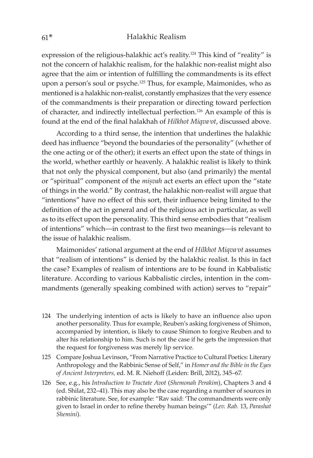expression of the religious-halakhic act's reality.124 This kind of "reality" is not the concern of halakhic realism, for the halakhic non-realist might also agree that the aim or intention of fulfilling the commandments is its effect upon a person's soul or psyche.125 Thus, for example, Maimonides, who as mentioned is a halakhic non-realist, constantly emphasizes that the very essence of the commandments is their preparation or directing toward perfection of character, and indirectly intellectual perfection.126 An example of this is found at the end of the final halakhah of *Hilkhot Miqva<sup>3</sup>ot*, discussed above.

According to a third sense, the intention that underlines the halakhic deed has influence "beyond the boundaries of the personality" (whether of the one acting or of the other); it exerts an effect upon the state of things in the world, whether earthly or heavenly. A halakhic realist is likely to think that not only the physical component, but also (and primarily) the mental or "spiritual" component of the *misvah* act exerts an effect upon the "state of things in the world." By contrast, the halakhic non-realist will argue that "intentions" have no effect of this sort, their influence being limited to the definition of the act in general and of the religious act in particular, as well as to its effect upon the personality. This third sense embodies that "realism of intentions" which—in contrast to the first two meanings—is relevant to the issue of halakhic realism.

Maimonides' rational argument at the end of *Hilkhot Miqva<sup>3</sup>ot* assumes that "realism of intentions" is denied by the halakhic realist. Is this in fact the case? Examples of realism of intentions are to be found in Kabbalistic literature. According to various Kabbalistic circles, intention in the commandments (generally speaking combined with action) serves to "repair"

- 124 The underlying intention of acts is likely to have an influence also upon another personality. Thus for example, Reuben's asking forgiveness of Shimon, accompanied by intention, is likely to cause Shimon to forgive Reuben and to alter his relationship to him. Such is not the case if he gets the impression that the request for forgiveness was merely lip service.
- 125 Compare Joshua Levinson, "From Narrative Practice to Cultural Poetics: Literary Anthropology and the Rabbinic Sense of Self," in *Homer and the Bible in the Eyes of Ancient Interpreters,* ed. M. R. Niehoff (Leiden: Brill, 2012), 345–67.
- 126 See, e.g., his *Introduction to Tractate Avot* (*Shemonah Perakim*), Chapters 3 and 4 (ed. Shilat, 232–41). This may also be the case regarding a number of sources in rabbinic literature. See, for example: "Rav said: 'The commandments were only given to Israel in order to refine thereby human beings'" (*Lev. Rab.* 13, *Parashat Shemini*).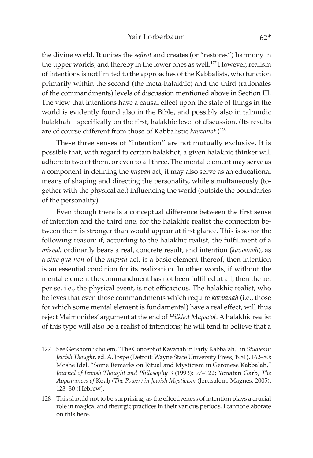the divine world. It unites the *sefirot* and creates (or "restores") harmony in the upper worlds, and thereby in the lower ones as well.<sup>127</sup> However, realism of intentions is not limited to the approaches of the Kabbalists, who function primarily within the second (the meta-halakhic) and the third (rationales of the commandments) levels of discussion mentioned above in Section III. The view that intentions have a causal effect upon the state of things in the world is evidently found also in the Bible, and possibly also in talmudic halakhah—specifically on the first, halakhic level of discussion. (Its results are of course different from those of Kabbalistic *kavvanot*.)<sup>128</sup>

These three senses of "intention" are not mutually exclusive. It is possible that, with regard to certain halakhot, a given halakhic thinker will adhere to two of them, or even to all three. The mental element may serve as a component in defining the *misvah* act; it may also serve as an educational means of shaping and directing the personality, while simultaneously (together with the physical act) influencing the world (outside the boundaries of the personality).

Even though there is a conceptual difference between the first sense of intention and the third one, for the halakhic realist the connection between them is stronger than would appear at first glance. This is so for the following reason: if, according to the halakhic realist, the fulfillment of a *miúvah* ordinarily bears a real, concrete result, and intention (*kavvanah*), as a *sine qua non* of the *mișvah* act, is a basic element thereof, then intention is an essential condition for its realization. In other words, if without the mental element the commandment has not been fulfilled at all, then the act per se, i.e., the physical event, is not efficacious. The halakhic realist, who believes that even those commandments which require *kavvanah* (i.e., those for which some mental element is fundamental) have a real effect, will thus reject Maimonides' argument at the end of *Hilkhot Miqvaᵓot*. A halakhic realist of this type will also be a realist of intentions; he will tend to believe that a

- 127 See Gershom Scholem, "The Concept of Kavanah in Early Kabbalah," in *Studies in Jewish Thought*, ed. A. Jospe (Detroit: Wayne State University Press, 1981), 162–80; Moshe Idel, "Some Remarks on Ritual and Mysticism in Geronese Kabbalah," *Journal of Jewish Thought and Philosophy* 3 (1993): 97–122; Yonatan Garb, *The Appearances of* Koaê *(The Power) in Jewish Mysticism* (Jerusalem: Magnes, 2005), 123–30 (Hebrew).
- 128 This should not to be surprising, as the effectiveness of intention plays a crucial role in magical and theurgic practices in their various periods. I cannot elaborate on this here.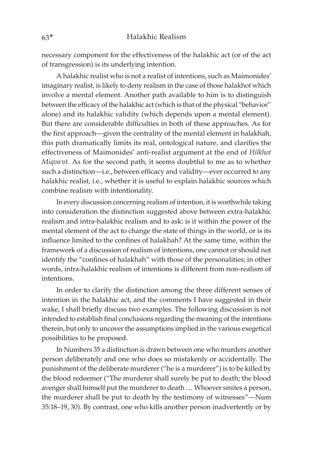necessary component for the effectiveness of the halakhic act (or of the act of transgression) is its underlying intention.

A halakhic realist who is not a realist of intentions, such as Maimonides' imaginary realist, is likely to deny realism in the case of those halakhot which involve a mental element. Another path available to him is to distinguish between the efficacy of the halakhic act (which is that of the physical "behavior" alone) and its halakhic validity (which depends upon a mental element). But there are considerable difficulties in both of these approaches. As for the first approach—given the centrality of the mental element in halakhah, this path dramatically limits its real, ontological nature, and clarifies the effectiveness of Maimonides' anti-realist argument at the end of *Hilkhot Miqva*<sup>2</sup>*ot*. As for the second path, it seems doubtful to me as to whether such a distinction—i.e., between efficacy and validity—ever occurred to any halakhic realist, i.e., whether it is useful to explain halakhic sources which combine realism with intentionality.

In every discussion concerning realism of intention, it is worthwhile taking into consideration the distinction suggested above between extra-halakhic realism and intra-halakhic realism and to ask: is it within the power of the mental element of the act to change the state of things in the world, or is its influence limited to the confines of halakhah? At the same time, within the framework of a discussion of realism of intentions, one cannot or should not identify the "confines of halakhah" with those of the personalities; in other words, intra-halakhic realism of intentions is different from non-realism of intentions.

In order to clarify the distinction among the three different senses of intention in the halakhic act, and the comments I have suggested in their wake, I shall briefly discuss two examples. The following discussion is not intended to establish final conclusions regarding the meaning of the intentions therein, but only to uncover the assumptions implied in the various exegetical possibilities to be proposed.

In Numbers 35 a distinction is drawn between one who murders another person deliberately and one who does so mistakenly or accidentally. The punishment of the deliberate murderer ("he is a murderer") is to be killed by the blood redeemer ("The murderer shall surely be put to death; the blood avenger shall himself put the murderer to death … Whoever smites a person, the murderer shall be put to death by the testimony of witnesses"—Num 35:18–19, 30). By contrast, one who kills another person inadvertently or by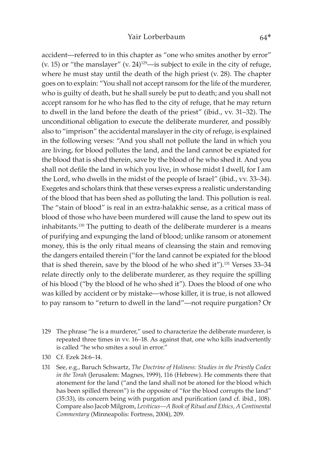accident—referred to in this chapter as "one who smites another by error" (v. 15) or "the manslayer" (v. 24)<sup>129</sup>—is subject to exile in the city of refuge, where he must stay until the death of the high priest (v. 28). The chapter goes on to explain: "You shall not accept ransom for the life of the murderer, who is guilty of death, but he shall surely be put to death; and you shall not accept ransom for he who has fled to the city of refuge, that he may return to dwell in the land before the death of the priest" (ibid., vv. 31–32). The unconditional obligation to execute the deliberate murderer, and possibly also to "imprison" the accidental manslayer in the city of refuge, is explained in the following verses: "And you shall not pollute the land in which you are living, for blood pollutes the land, and the land cannot be expiated for the blood that is shed therein, save by the blood of he who shed it. And you shall not defile the land in which you live, in whose midst I dwell, for I am the Lord, who dwells in the midst of the people of Israel" (ibid., vv. 33–34). Exegetes and scholars think that these verses express a realistic understanding of the blood that has been shed as polluting the land. This pollution is real. The "stain of blood" is real in an extra-halakhic sense, as a critical mass of blood of those who have been murdered will cause the land to spew out its inhabitants.130 The putting to death of the deliberate murderer is a means of purifying and expunging the land of blood; unlike ransom or atonement money, this is the only ritual means of cleansing the stain and removing the dangers entailed therein ("for the land cannot be expiated for the blood that is shed therein, save by the blood of he who shed it").<sup>131</sup> Verses 33-34 relate directly only to the deliberate murderer, as they require the spilling of his blood ("by the blood of he who shed it"). Does the blood of one who was killed by accident or by mistake—whose killer, it is true, is not allowed to pay ransom to "return to dwell in the land"—not require purgation? Or

- 129 The phrase "he is a murderer," used to characterize the deliberate murderer, is repeated three times in vv. 16–18. As against that, one who kills inadvertently is called "he who smites a soul in error."
- 130 Cf. Ezek 24:6–14.

131 See, e.g., Baruch Schwartz, *The Doctrine of Holiness: Studies in the Priestly Codex in the Torah* (Jerusalem: Magnes, 1999), 116 (Hebrew). He comments there that atonement for the land ("and the land shall not be atoned for the blood which has been spilled thereon") is the opposite of "for the blood corrupts the land" (35:33), its concern being with purgation and purification (and cf. ibid., 108). Compare also Jacob Milgrom, *Leviticus—A Book of Ritual and Ethics, A Continental Commentary* (Minneapolis: Fortress, 2004), 209.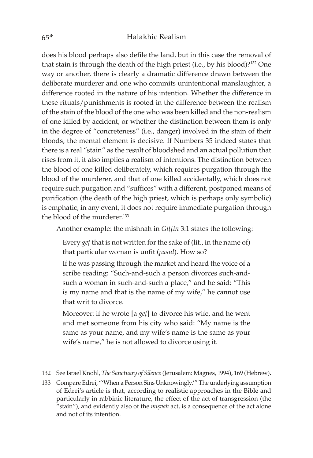does his blood perhaps also defile the land, but in this case the removal of that stain is through the death of the high priest (i.e., by his blood)?132 One way or another, there is clearly a dramatic difference drawn between the deliberate murderer and one who commits unintentional manslaughter, a difference rooted in the nature of his intention. Whether the difference in these rituals/punishments is rooted in the difference between the realism of the stain of the blood of the one who was been killed and the non-realism of one killed by accident, or whether the distinction between them is only in the degree of "concreteness" (i.e., danger) involved in the stain of their bloods, the mental element is decisive. If Numbers 35 indeed states that there is a real "stain" as the result of bloodshed and an actual pollution that rises from it, it also implies a realism of intentions. The distinction between the blood of one killed deliberately, which requires purgation through the blood of the murderer, and that of one killed accidentally, which does not require such purgation and "suffices" with a different, postponed means of purification (the death of the high priest, which is perhaps only symbolic) is emphatic, in any event, it does not require immediate purgation through the blood of the murderer.<sup>133</sup>

Another example: the mishnah in *Gittin* 3:1 states the following:

Every *get* that is not written for the sake of (lit., in the name of) that particular woman is unfit (*pasul*). How so?

If he was passing through the market and heard the voice of a scribe reading: "Such-and-such a person divorces such-andsuch a woman in such-and-such a place," and he said: "This is my name and that is the name of my wife," he cannot use that writ to divorce.

Moreover: if he wrote [a *get*] to divorce his wife, and he went and met someone from his city who said: "My name is the same as your name, and my wife's name is the same as your wife's name," he is not allowed to divorce using it.

- 132 See Israel Knohl, *The Sanctuary of Silence* (Jerusalem: Magnes, 1994), 169 (Hebrew).
- 133 Compare Edrei, "'When a Person Sins Unknowingly.'" The underlying assumption of Edrei's article is that, according to realistic approaches in the Bible and particularly in rabbinic literature, the effect of the act of transgression (the "stain"), and evidently also of the *mișvah* act, is a consequence of the act alone and not of its intention.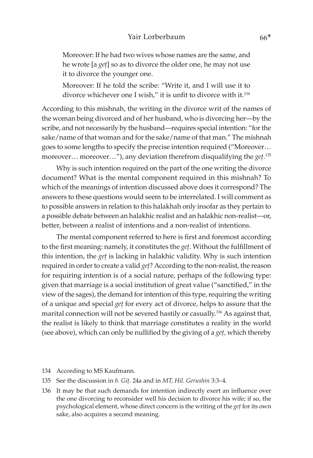Moreover: If he had two wives whose names are the same, and he wrote [a *get*] so as to divorce the older one, he may not use it to divorce the younger one.

Moreover: If he told the scribe: "Write it, and I will use it to divorce whichever one I wish," it is unfit to divorce with it.134

According to this mishnah, the writing in the divorce writ of the names of the woman being divorced and of her husband, who is divorcing her—by the scribe, and not necessarily by the husband—requires special intention: "for the sake/name of that woman and for the sake/name of that man." The mishnah goes to some lengths to specify the precise intention required ("Moreover… moreover... moreover..."), any deviation therefrom disqualifying the *get*.<sup>135</sup>

Why is such intention required on the part of the one writing the divorce document? What is the mental component required in this mishnah? To which of the meanings of intention discussed above does it correspond? The answers to these questions would seem to be interrelated. I will comment as to possible answers in relation to this halakhah only insofar as they pertain to a possible debate between an halakhic realist and an halakhic non-realist—or, better, between a realist of intentions and a non-realist of intentions.

The mental component referred to here is first and foremost according to the first meaning: namely, it constitutes the *geû*. Without the fulfillment of this intention, the *get* is lacking in halakhic validity. Why is such intention required in order to create a valid *get*? According to the non-realist, the reason for requiring intention is of a social nature, perhaps of the following type: given that marriage is a social institution of great value ("sanctified," in the view of the sages), the demand for intention of this type, requiring the writing of a unique and special *geû* for every act of divorce, helps to assure that the marital connection will not be severed hastily or casually.<sup>136</sup> As against that, the realist is likely to think that marriage constitutes a reality in the world (see above), which can only be nullified by the giving of a *get*, which thereby

- 134 According to MS Kaufmann.
- 135 See the discussion in *b. Giû*. 24a and in *MT, Hil. Gerushin* 3:3–4.
- 136 It may be that such demands for intention indirectly exert an influence over the one divorcing to reconsider well his decision to divorce his wife; if so, the psychological element, whose direct concern is the writing of the *get* for its own sake, also acquires a second meaning.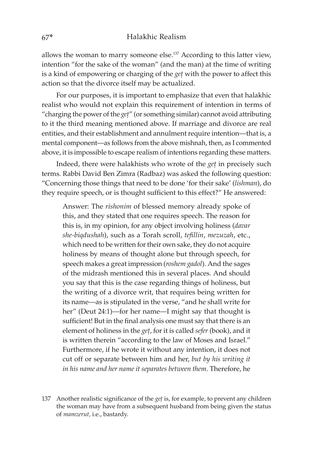allows the woman to marry someone else.137 According to this latter view, intention "for the sake of the woman" (and the man) at the time of writing is a kind of empowering or charging of the *get* with the power to affect this action so that the divorce itself may be actualized.

For our purposes, it is important to emphasize that even that halakhic realist who would not explain this requirement of intention in terms of "charging the power of the *get*" (or something similar) cannot avoid attributing to it the third meaning mentioned above. If marriage and divorce are real entities, and their establishment and annulment require intention—that is, a mental component—as follows from the above mishnah, then, as I commented above, it is impossible to escape realism of intentions regarding these matters.

Indeed, there were halakhists who wrote of the *get* in precisely such terms. Rabbi David Ben Zimra (Radbaz) was asked the following question: "Concerning those things that need to be done 'for their sake' (*lishman*), do they require speech, or is thought sufficient to this effect?" He answered:

Answer: The *rishonim* of blessed memory already spoke of this, and they stated that one requires speech. The reason for this is, in my opinion, for any object involving holiness (*davar she-biqdushah*), such as a Torah scroll, *tefillin*, *mezuzah*, etc., which need to be written for their own sake, they do not acquire holiness by means of thought alone but through speech, for speech makes a great impression (*roshem gadol*). And the sages of the midrash mentioned this in several places. And should you say that this is the case regarding things of holiness, but the writing of a divorce writ, that requires being written for its name—as is stipulated in the verse, "and he shall write for her" (Deut 24:1)—for her name—I might say that thought is sufficient! But in the final analysis one must say that there is an element of holiness in the *get*, for it is called *sefer* (book), and it is written therein "according to the law of Moses and Israel." Furthermore, if he wrote it without any intention, it does not cut off or separate between him and her, *but by his writing it in his name and her name it separates between them*. Therefore, he

137 Another realistic significance of the *get* is, for example, to prevent any children the woman may have from a subsequent husband from being given the status of *mamzerut,* i.e., bastardy.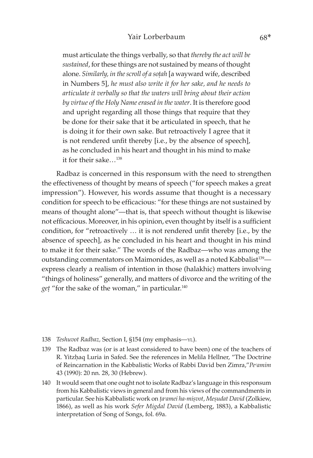## Yair Lorberbaum 68\*

must articulate the things verbally, so that *thereby the act will be sustained*, for these things are not sustained by means of thought alone. *Similarly, in the scroll of a soûah* [a wayward wife, described in Numbers 5], *he must also write it for her sake, and he needs to articulate it verbally so that the waters will bring about their action by virtue of the Holy Name erased in the water*. It is therefore good and upright regarding all those things that require that they be done for their sake that it be articulated in speech, that he is doing it for their own sake. But retroactively I agree that it is not rendered unfit thereby [i.e., by the absence of speech], as he concluded in his heart and thought in his mind to make it for their sake…138

Radbaz is concerned in this responsum with the need to strengthen the effectiveness of thought by means of speech ("for speech makes a great impression"). However, his words assume that thought is a necessary condition for speech to be efficacious: "for these things are not sustained by means of thought alone"—that is, that speech without thought is likewise not efficacious. Moreover, in his opinion, even thought by itself is a sufficient condition, for "retroactively … it is not rendered unfit thereby [i.e., by the absence of speech], as he concluded in his heart and thought in his mind to make it for their sake." The words of the Radbaz—who was among the outstanding commentators on Maimonides, as well as a noted Kabbalist<sup>139</sup> express clearly a realism of intention in those (halakhic) matters involving "things of holiness" generally, and matters of divorce and the writing of the get "for the sake of the woman," in particular.<sup>140</sup>

- 138 *Teshuvot Radbaz,* Section I, §154 (my emphasis—yl).
- 139 The Radbaz was (or is at least considered to have been) one of the teachers of R. Yitzhaq Luria in Safed. See the references in Melila Hellner, "The Doctrine of Reincarnation in the Kabbalistic Works of Rabbi David ben Zimra,"*Peᶜamim*  43 (1990): 20 nn. 28, 30 (Hebrew).
- 140 It would seem that one ought not to isolate Radbaz's language in this responsum from his Kabbalistic views in general and from his views of the commandments in particular. See his Kabbalistic work on *ța<sup>c</sup>amei ha-mișvot*, Meșudat David (Zolkiew, 1866), as well as his work *Sefer Migdal David* (Lemberg, 1883), a Kabbalistic interpretation of Song of Songs, fol. 69a.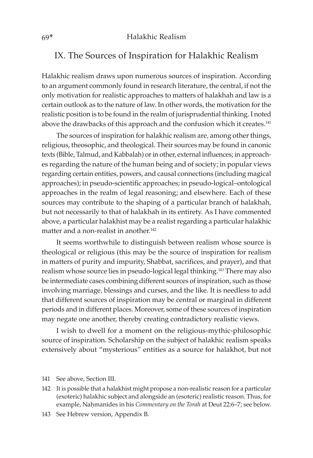## IX. The Sources of Inspiration for Halakhic Realism

Halakhic realism draws upon numerous sources of inspiration. According to an argument commonly found in research literature, the central, if not the only motivation for realistic approaches to matters of halakhah and law is a certain outlook as to the nature of law. In other words, the motivation for the realistic position is to be found in the realm of jurisprudential thinking. I noted above the drawbacks of this approach and the confusion which it creates.<sup>141</sup>

The sources of inspiration for halakhic realism are, among other things, religious, theosophic, and theological. Their sources may be found in canonic texts (Bible, Talmud, and Kabbalah) or in other, external influences; in approaches regarding the nature of the human being and of society; in popular views regarding certain entities, powers, and causal connections (including magical approaches); in pseudo-scientific approaches; in pseudo-logical–ontological approaches in the realm of legal reasoning; and elsewhere. Each of these sources may contribute to the shaping of a particular branch of halakhah, but not necessarily to that of halakhah in its entirety. As I have commented above, a particular halakhist may be a realist regarding a particular halakhic matter and a non-realist in another.<sup>142</sup>

It seems worthwhile to distinguish between realism whose source is theological or religious (this may be the source of inspiration for realism in matters of purity and impurity, Shabbat, sacrifices, and prayer), and that realism whose source lies in pseudo-logical legal thinking.<sup>143</sup> There may also be intermediate cases combining different sources of inspiration, such as those involving marriage, blessings and curses, and the like. It is needless to add that different sources of inspiration may be central or marginal in different periods and in different places. Moreover, some of these sources of inspiration may negate one another, thereby creating contradictory realistic views.

I wish to dwell for a moment on the religious-mythic-philosophic source of inspiration. Scholarship on the subject of halakhic realism speaks extensively about "mysterious" entities as a source for halakhot, but not

143 See Hebrew version, Appendix B.

<sup>141</sup> See above, Section III.

<sup>142</sup> It is possible that a halakhist might propose a non-realistic reason for a particular (exoteric) halakhic subject and alongside an (esoteric) realistic reason. Thus, for example, Nahmanides in his *Commentary on the Torah* at Deut 22:6–7; see below.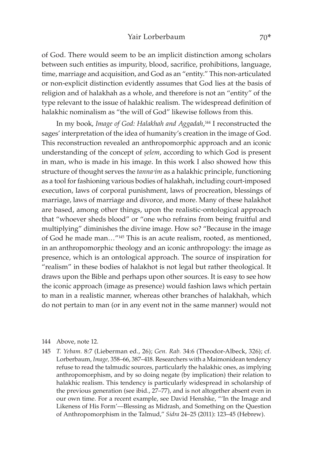#### Yair Lorberbaum 70\*

of God. There would seem to be an implicit distinction among scholars between such entities as impurity, blood, sacrifice, prohibitions, language, time, marriage and acquisition, and God as an "entity." This non-articulated or non-explicit distinction evidently assumes that God lies at the basis of religion and of halakhah as a whole, and therefore is not an "entity" of the type relevant to the issue of halakhic realism. The widespread definition of halakhic nominalism as "the will of God" likewise follows from this.

In my book, *Image of God: Halakhah and Aggadah*, <sup>144</sup> I reconstructed the sages' interpretation of the idea of humanity's creation in the image of God. This reconstruction revealed an anthropomorphic approach and an iconic understanding of the concept of *selem*, according to which God is present in man, who is made in his image. In this work I also showed how this structure of thought serves the *tanna*<sup>2</sup>*im* as a halakhic principle, functioning as a tool for fashioning various bodies of halakhah, including court-imposed execution, laws of corporal punishment, laws of procreation, blessings of marriage, laws of marriage and divorce, and more. Many of these halakhot are based, among other things, upon the realistic-ontological approach that "whoever sheds blood" or "one who refrains from being fruitful and multiplying" diminishes the divine image. How so? "Because in the image of God he made man…"145 This is an acute realism, rooted, as mentioned, in an anthropomorphic theology and an iconic anthropology: the image as presence, which is an ontological approach. The source of inspiration for "realism" in these bodies of halakhot is not legal but rather theological. It draws upon the Bible and perhaps upon other sources. It is easy to see how the iconic approach (image as presence) would fashion laws which pertain to man in a realistic manner, whereas other branches of halakhah, which do not pertain to man (or in any event not in the same manner) would not

#### 144 Above, note 12.

145 *T. Yebam.* 8:7 (Lieberman ed., 26); *Gen. Rab.* 34:6 (Theodor-Albeck, 326); cf. Lorberbaum, *Image,* 358–66, 387–418. Researchers with a Maimonidean tendency refuse to read the talmudic sources, particularly the halakhic ones, as implying anthropomorphism, and by so doing negate (by implication) their relation to halakhic realism. This tendency is particularly widespread in scholarship of the previous generation (see ibid., 27–77), and is not altogether absent even in our own time. For a recent example, see David Henshke, "'In the Image and Likeness of His Form'—Blessing as Midrash, and Something on the Question of Anthropomorphism in the Talmud," *Sidra* 24–25 (2011): 123–45 (Hebrew).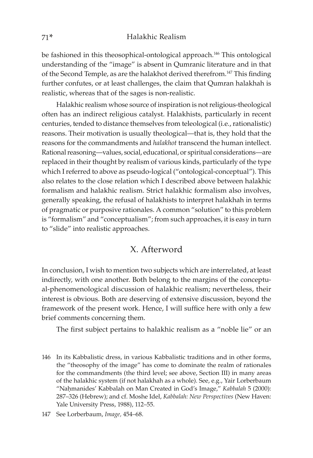be fashioned in this theosophical-ontological approach.<sup>146</sup> This ontological understanding of the "image" is absent in Qumranic literature and in that of the Second Temple, as are the halakhot derived therefrom.147 This finding further confutes, or at least challenges, the claim that Qumran halakhah is realistic, whereas that of the sages is non-realistic.

Halakhic realism whose source of inspiration is not religious-theological often has an indirect religious catalyst. Halakhists, particularly in recent centuries, tended to distance themselves from teleological (i.e., rationalistic) reasons. Their motivation is usually theological—that is, they hold that the reasons for the commandments and *halakhot* transcend the human intellect. Rational reasoning—values, social, educational, or spiritual considerations—are replaced in their thought by realism of various kinds, particularly of the type which I referred to above as pseudo-logical ("ontological-conceptual"). This also relates to the close relation which I described above between halakhic formalism and halakhic realism. Strict halakhic formalism also involves, generally speaking, the refusal of halakhists to interpret halakhah in terms of pragmatic or purposive rationales. A common "solution" to this problem is "formalism" and "conceptualism"; from such approaches, it is easy in turn to "slide" into realistic approaches.

## X. Afterword

In conclusion, I wish to mention two subjects which are interrelated, at least indirectly, with one another. Both belong to the margins of the conceptual-phenomenological discussion of halakhic realism; nevertheless, their interest is obvious. Both are deserving of extensive discussion, beyond the framework of the present work. Hence, I will suffice here with only a few brief comments concerning them.

The first subject pertains to halakhic realism as a "noble lie" or an

146 In its Kabbalistic dress, in various Kabbalistic traditions and in other forms, the "theosophy of the image" has come to dominate the realm of rationales for the commandments (the third level; see above, Section III) in many areas of the halakhic system (if not halakhah as a whole). See, e.g., Yair Lorberbaum "Nahmanides' Kabbalah on Man Created in God's Image," Kabbalah 5 (2000): 287–326 (Hebrew); and cf. Moshe Idel, *Kabbalah: New Perspectives* (New Haven: Yale University Press, 1988), 112–55.

<sup>147</sup> See Lorberbaum, *Image,* 454–68.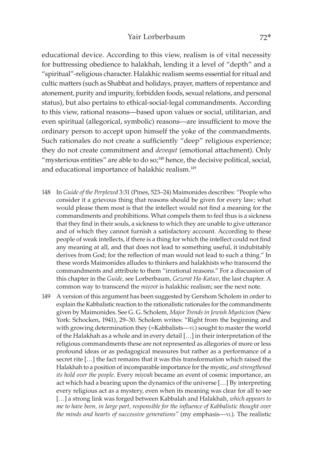## Yair Lorberbaum 72\*

educational device. According to this view, realism is of vital necessity for buttressing obedience to halakhah, lending it a level of "depth" and a "spiritual"-religious character. Halakhic realism seems essential for ritual and cultic matters (such as Shabbat and holidays, prayer, matters of repentance and atonement, purity and impurity, forbidden foods, sexual relations, and personal status), but also pertains to ethical-social-legal commandments. According to this view, rational reasons—based upon values or social, utilitarian, and even spiritual (allegorical, symbolic) reasons—are insufficient to move the ordinary person to accept upon himself the yoke of the commandments. Such rationales do not create a sufficiently "deep" religious experience; they do not create commitment and *devequt* (emotional attachment). Only "mysterious entities" are able to do  $so<sub>i</sub>$ <sup>148</sup> hence, the decisive political, social, and educational importance of halakhic realism.149

- 148 In *Guide of the Perplexed* 3:31 (Pines, 523–24) Maimonides describes: "People who consider it a grievous thing that reasons should be given for every law; what would please them most is that the intellect would not find a meaning for the commandments and prohibitions. What compels them to feel thus is a sickness that they find in their souls, a sickness to which they are unable to give utterance and of which they cannot furnish a satisfactory account. According to these people of weak intellects, if there is a thing for which the intellect could not find any meaning at all, and that does not lead to something useful, it indubitably derives from God; for the reflection of man would not lead to such a thing." In these words Maimonides alludes to thinkers and halakhists who transcend the commandments and attribute to them "irrational reasons." For a discussion of this chapter in the *Guide*, see Lorberbaum, *Gezerat Ha-Katuv*, the last chapter. A common way to transcend the *misvot* is halakhic realism; see the next note.
- 149 A version of this argument has been suggested by Gershom Scholem in order to explain the Kabbalistic reaction to the rationalistic rationales for the commandments given by Maimonides. See G. G. Scholem, *Major Trends in Jewish Mysticism* (New York: Schocken, 1941), 29–30. Scholem writes: "Right from the beginning and with growing determination they (=Kabbalists—YL) sought to master the world of the Halakhah as a whole and in every detail […] in their interpretation of the religious commandments these are not represented as allegories of more or less profound ideas or as pedagogical measures but rather as a performance of a secret rite […] the fact remains that it was this transformation which raised the Halakhah to a position of incomparable importance for the mystic, *and strengthened its hold over the people*. Every *mișvah* became an event of cosmic importance, an act which had a bearing upon the dynamics of the universe […] By interpreting every religious act as a mystery, even when its meaning was clear for all to see […] a strong link was forged between Kabbalah and Halakhah, *which appears to me to have been, in large part, responsible for the influence of Kabbalistic thought over the minds and hearts of successive generations"* (my emphasis—YL). The realistic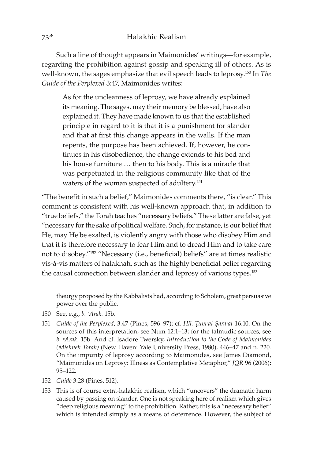Such a line of thought appears in Maimonides' writings—for example, regarding the prohibition against gossip and speaking ill of others. As is well-known, the sages emphasize that evil speech leads to leprosy.150 In *The Guide of the Perplexed* 3:47, Maimonides writes:

As for the uncleanness of leprosy, we have already explained its meaning. The sages, may their memory be blessed, have also explained it. They have made known to us that the established principle in regard to it is that it is a punishment for slander and that at first this change appears in the walls. If the man repents, the purpose has been achieved. If, however, he continues in his disobedience, the change extends to his bed and his house furniture … then to his body. This is a miracle that was perpetuated in the religious community like that of the waters of the woman suspected of adultery.151

"The benefit in such a belief," Maimonides comments there, "is clear." This comment is consistent with his well-known approach that, in addition to "true beliefs," the Torah teaches "necessary beliefs." These latter are false, yet "necessary for the sake of political welfare. Such, for instance, is our belief that He, may He be exalted, is violently angry with those who disobey Him and that it is therefore necessary to fear Him and to dread Him and to take care not to disobey."152 "Necessary (i.e., beneficial) beliefs" are at times realistic vis-à-vis matters of halakhah, such as the highly beneficial belief regarding the causal connection between slander and leprosy of various types.<sup>153</sup>

theurgy proposed by the Kabbalists had, according to Scholem, great persuasive power over the public.

- 150 See, e.g., *b. ᶜArak.* 15b.
- 151 *Guide of the Perplexed, 3:47 (Pines, 596-97); cf. <i>Hil. Tum<sup>2</sup>at Sara<sup>c</sup>at* 16:10. On the sources of this interpretation, see Num 12:1–13; for the talmudic sources, see *b. ᶜArak.* 15b. And cf. Isadore Twersky, *Introduction to the Code of Maimonides (Mishneh Torah)* (New Haven: Yale University Press, 1980), 446–47 and n. 220. On the impurity of leprosy according to Maimonides, see James Diamond, "Maimonides on Leprosy: Illness as Contemplative Metaphor," *JQR* 96 (2006): 95–122.
- 152 *Guide* 3:28 (Pines, 512).
- 153 This is of course extra-halakhic realism, which "uncovers" the dramatic harm caused by passing on slander. One is not speaking here of realism which gives "deep religious meaning" to the prohibition. Rather, this is a "necessary belief" which is intended simply as a means of deterrence. However, the subject of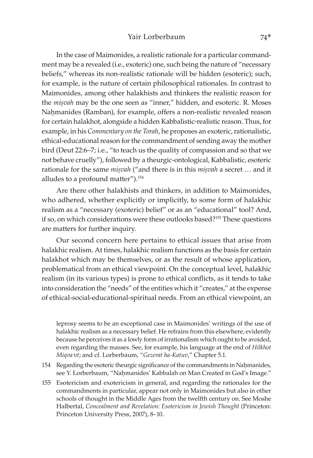In the case of Maimonides, a realistic rationale for a particular commandment may be a revealed (i.e., exoteric) one, such being the nature of "necessary beliefs," whereas its non-realistic rationale will be hidden (esoteric); such, for example, is the nature of certain philosophical rationales. In contrast to Maimonides, among other halakhists and thinkers the realistic reason for the *misvah* may be the one seen as "inner," hidden, and esoteric. R. Moses Nahmanides (Ramban), for example, offers a non-realistic revealed reason for certain halakhot, alongside a hidden Kabbalistic-realistic reason. Thus, for example, in his *Commentary on the Torah*, he proposes an exoteric, rationalistic, ethical-educational reason for the commandment of sending away the mother bird (Deut 22:6–7; i.e., "to teach us the quality of compassion and so that we not behave cruelly"), followed by a theurgic-ontological, Kabbalistic, esoteric rationale for the same *misvah* ("and there is in this *misvah* a secret ... and it alludes to a profound matter").154

Are there other halakhists and thinkers, in addition to Maimonides, who adhered, whether explicitly or implicitly, to some form of halakhic realism as a "necessary (exoteric) belief" or as an "educational" tool? And, if so, on which considerations were these outlooks based?155 These questions are matters for further inquiry.

Our second concern here pertains to ethical issues that arise from halakhic realism. At times, halakhic realism functions as the basis for certain halakhot which may be themselves, or as the result of whose application, problematical from an ethical viewpoint. On the conceptual level, halakhic realism (in its various types) is prone to ethical conflicts, as it tends to take into consideration the "needs" of the entities which it "creates," at the expense of ethical-social-educational-spiritual needs. From an ethical viewpoint, an

leprosy seems to be an exceptional case in Maimonides' writings of the use of halakhic realism as a necessary belief. He refrains from this elsewhere, evidently because he perceives it as a lowly form of irrationalism which ought to be avoided, even regarding the masses. See, for example, his language at the end of *Hilkhot Miqvaᵓot*; and cf. Lorberbaum, "*Gezerat ha-Katuv*," Chapter 5.1.

- 154 Regarding the esoteric theurgic significance of the commandments in Nahmanides, see Y. Lorberbaum, "Nahmanides' Kabbalah on Man Created in God's Image."
- 155 Esotericism and exotericism in general, and regarding the rationales for the commandments in particular, appear not only in Maimonides but also in other schools of thought in the Middle Ages from the twelfth century on. See Moshe Halbertal, *Concealment and Revelation: Esotericism in Jewish Thought* (Princeton: Princeton University Press, 2007), 8–10.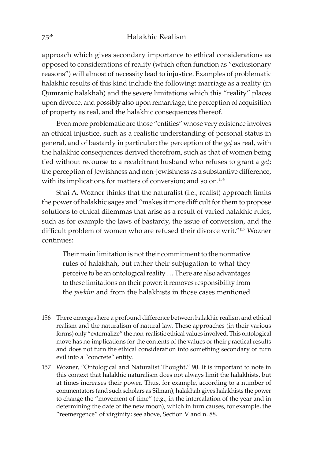approach which gives secondary importance to ethical considerations as opposed to considerations of reality (which often function as "exclusionary reasons") will almost of necessity lead to injustice. Examples of problematic halakhic results of this kind include the following: marriage as a reality (in Qumranic halakhah) and the severe limitations which this "reality" places upon divorce, and possibly also upon remarriage; the perception of acquisition of property as real, and the halakhic consequences thereof.

Even more problematic are those "entities" whose very existence involves an ethical injustice, such as a realistic understanding of personal status in general, and of bastardy in particular; the perception of the *get* as real, with the halakhic consequences derived therefrom, such as that of women being tied without recourse to a recalcitrant husband who refuses to grant a *geû*; the perception of Jewishness and non-Jewishness as a substantive difference, with its implications for matters of conversion; and so on.156

Shai A. Wozner thinks that the naturalist (i.e., realist) approach limits the power of halakhic sages and "makes it more difficult for them to propose solutions to ethical dilemmas that arise as a result of varied halakhic rules, such as for example the laws of bastardy, the issue of conversion, and the difficult problem of women who are refused their divorce writ."157 Wozner continues:

Their main limitation is not their commitment to the normative rules of halakhah, but rather their subjugation to what they perceive to be an ontological reality … There are also advantages to these limitations on their power: it removes responsibility from the *poskim* and from the halakhists in those cases mentioned

- 156 There emerges here a profound difference between halakhic realism and ethical realism and the naturalism of natural law. These approaches (in their various forms) only "externalize" the non-realistic ethical values involved. This ontological move has no implications for the contents of the values or their practical results and does not turn the ethical consideration into something secondary or turn evil into a "concrete" entity.
- 157 Wozner, "Ontological and Naturalist Thought," 90. It is important to note in this context that halakhic naturalism does not always limit the halakhists, but at times increases their power. Thus, for example, according to a number of commentators (and such scholars as Silman), halakhah gives halakhists the power to change the "movement of time" (e.g., in the intercalation of the year and in determining the date of the new moon), which in turn causes, for example, the "reemergence" of virginity; see above, Section V and n. 88.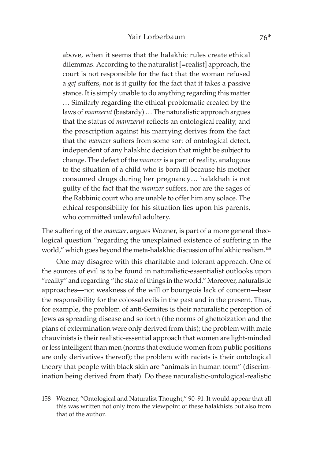above, when it seems that the halakhic rules create ethical dilemmas. According to the naturalist [=realist] approach, the court is not responsible for the fact that the woman refused a *get* suffers, nor is it guilty for the fact that it takes a passive stance. It is simply unable to do anything regarding this matter … Similarly regarding the ethical problematic created by the laws of *mamzerut* (bastardy) … The naturalistic approach argues that the status of *mamzerut* reflects an ontological reality, and the proscription against his marrying derives from the fact that the *mamzer* suffers from some sort of ontological defect, independent of any halakhic decision that might be subject to change. The defect of the *mamzer* is a part of reality, analogous to the situation of a child who is born ill because his mother consumed drugs during her pregnancy… halakhah is not guilty of the fact that the *mamzer* suffers, nor are the sages of the Rabbinic court who are unable to offer him any solace. The ethical responsibility for his situation lies upon his parents, who committed unlawful adultery.

The suffering of the *mamzer*, argues Wozner, is part of a more general theological question "regarding the unexplained existence of suffering in the world," which goes beyond the meta-halakhic discussion of halakhic realism.<sup>158</sup>

One may disagree with this charitable and tolerant approach. One of the sources of evil is to be found in naturalistic-essentialist outlooks upon "reality" and regarding "the state of things in the world." Moreover, naturalistic approaches—not weakness of the will or bourgeois lack of concern—bear the responsibility for the colossal evils in the past and in the present. Thus, for example, the problem of anti-Semites is their naturalistic perception of Jews as spreading disease and so forth (the norms of ghettoization and the plans of extermination were only derived from this); the problem with male chauvinists is their realistic-essential approach that women are light-minded or less intelligent than men (norms that exclude women from public positions are only derivatives thereof); the problem with racists is their ontological theory that people with black skin are "animals in human form" (discrimination being derived from that). Do these naturalistic-ontological-realistic

158 Wozner, "Ontological and Naturalist Thought," 90–91. It would appear that all this was written not only from the viewpoint of these halakhists but also from that of the author.